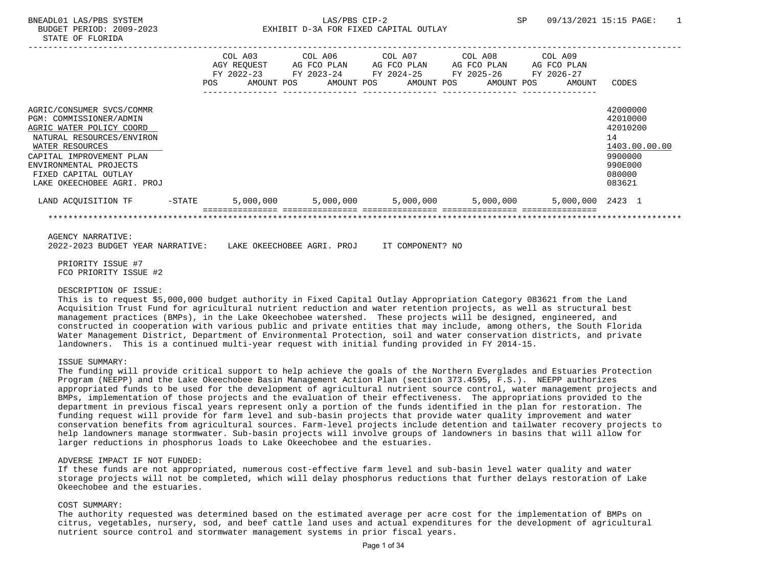# BUDGET PERIOD: 2009-2023 EXHIBIT D-3A FOR FIXED CAPITAL OUTLAY

|                                                                                                                                                                                                                                              | <b>POS</b> |  |  |  | COL A03 COL A06 COL A07 COL A08 COL A09<br>AGY REQUEST AG FCO PLAN AG FCO PLAN AG FCO PLAN AG FCO PLAN<br>FY 2022-23 FY 2023-24 FY 2024-25 FY 2025-26 FY 2026-27<br>AMOUNT POS      AMOUNT POS     AMOUNT POS     AMOUNT POS | AMOUNT           | CODES                                                                                             |
|----------------------------------------------------------------------------------------------------------------------------------------------------------------------------------------------------------------------------------------------|------------|--|--|--|------------------------------------------------------------------------------------------------------------------------------------------------------------------------------------------------------------------------------|------------------|---------------------------------------------------------------------------------------------------|
| AGRIC/CONSUMER SVCS/COMMR<br>PGM: COMMISSIONER/ADMIN<br>AGRIC WATER POLICY COORD<br>NATURAL RESOURCES/ENVIRON<br>WATER RESOURCES<br>CAPITAL IMPROVEMENT PLAN<br>ENVIRONMENTAL PROJECTS<br>FIXED CAPITAL OUTLAY<br>LAKE OKEECHOBEE AGRI. PROJ |            |  |  |  |                                                                                                                                                                                                                              |                  | 42000000<br>42010000<br>42010200<br>14<br>1403.00.00.00<br>9900000<br>990E000<br>080000<br>083621 |
| LAND ACQUISITION TF -STATE                                                                                                                                                                                                                   |            |  |  |  | $5,000,000$ $5,000,000$ $5,000,000$ $5,000,000$                                                                                                                                                                              | 5,000,000 2423 1 |                                                                                                   |
|                                                                                                                                                                                                                                              |            |  |  |  |                                                                                                                                                                                                                              |                  |                                                                                                   |
| AGENCY NARRATIVE:<br>2022-2023 BUDGET YEAR NARRATIVE: LAKE OKEECHOBEE AGRI. PROJ IT COMPONENT? NO<br>PRIORITY ISSUE #7<br>FCO PRIORITY ISSUE #2                                                                                              |            |  |  |  |                                                                                                                                                                                                                              |                  |                                                                                                   |

#### DESCRIPTION OF ISSUE:

This is to request \$5,000,000 budget authority in Fixed Capital Outlay Appropriation Category 083621 from the Land Acquisition Trust Fund for agricultural nutrient reduction and water retention projects, as well as structural best management practices (BMPs), in the Lake Okeechobee watershed. These projects will be designed, engineered, and constructed in cooperation with various public and private entities that may include, among others, the South Florida Water Management District, Department of Environmental Protection, soil and water conservation districts, and private landowners. This is a continued multi-year request with initial funding provided in FY 2014-15.

## ISSUE SUMMARY:

The funding will provide critical support to help achieve the goals of the Northern Everglades and Estuaries Protection Program (NEEPP) and the Lake Okeechobee Basin Management Action Plan (section 373.4595, F.S.). NEEPP authorizes appropriated funds to be used for the development of agricultural nutrient source control, water management projects and BMPs, implementation of those projects and the evaluation of their effectiveness. The appropriations provided to the department in previous fiscal years represent only a portion of the funds identified in the plan for restoration. The funding request will provide for farm level and sub-basin projects that provide water quality improvement and water conservation benefits from agricultural sources. Farm-level projects include detention and tailwater recovery projects to help landowners manage stormwater. Sub-basin projects will involve groups of landowners in basins that will allow for larger reductions in phosphorus loads to Lake Okeechobee and the estuaries.

### ADVERSE IMPACT IF NOT FUNDED:

If these funds are not appropriated, numerous cost-effective farm level and sub-basin level water quality and water storage projects will not be completed, which will delay phosphorus reductions that further delays restoration of Lake Okeechobee and the estuaries.

## COST SUMMARY:

The authority requested was determined based on the estimated average per acre cost for the implementation of BMPs on citrus, vegetables, nursery, sod, and beef cattle land uses and actual expenditures for the development of agricultural nutrient source control and stormwater management systems in prior fiscal years.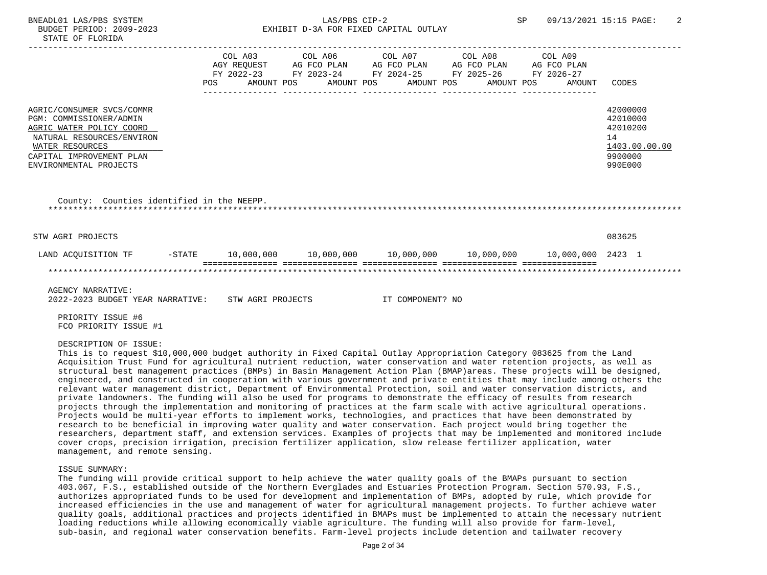|  | BNEADL01 LAS/PBS SYSTEM | LAS/PBS CIP-2 |  | 09/13/2021 15:15 PAGE: | $\overline{\phantom{a}}$ |
|--|-------------------------|---------------|--|------------------------|--------------------------|
|--|-------------------------|---------------|--|------------------------|--------------------------|

 BUDGET PERIOD: 2009-2023 EXHIBIT D-3A FOR FIXED CAPITAL OUTLAY STATE OF FLORIDA

|                                                                                                                                                                                        | COL A03 COL A06 COL A07 COL A08 COL A09<br>AGY REQUEST AG FCO PLAN AG FCO PLAN AG FCO PLAN AG FCO PLAN<br>FY 2022-23 FY 2023-24 FY 2024-25 FY 2025-26 FY 2026-27<br>POS AMOUNT POS AMOUNT POS AMOUNT POS AMOUNT POS |                  | AMOUNT CODES |                                                                               |
|----------------------------------------------------------------------------------------------------------------------------------------------------------------------------------------|---------------------------------------------------------------------------------------------------------------------------------------------------------------------------------------------------------------------|------------------|--------------|-------------------------------------------------------------------------------|
| AGRIC/CONSUMER SVCS/COMMR<br>PGM: COMMISSIONER/ADMIN<br>AGRIC WATER POLICY COORD<br>NATURAL RESOURCES/ENVIRON<br>WATER RESOURCES<br>CAPITAL IMPROVEMENT PLAN<br>ENVIRONMENTAL PROJECTS |                                                                                                                                                                                                                     |                  |              | 42000000<br>42010000<br>42010200<br>14<br>1403.00.00.00<br>9900000<br>990E000 |
| County: Counties identified in the NEEPP.                                                                                                                                              |                                                                                                                                                                                                                     |                  |              |                                                                               |
| STW AGRI PROJECTS                                                                                                                                                                      |                                                                                                                                                                                                                     |                  |              | 083625                                                                        |
|                                                                                                                                                                                        |                                                                                                                                                                                                                     |                  |              |                                                                               |
|                                                                                                                                                                                        |                                                                                                                                                                                                                     |                  |              |                                                                               |
| AGENCY NARRATIVE:<br>2022-2023 BUDGET YEAR NARRATIVE: STW AGRI PROJECTS                                                                                                                |                                                                                                                                                                                                                     | IT COMPONENT? NO |              |                                                                               |

 PRIORITY ISSUE #6 FCO PRIORITY ISSUE #1

## DESCRIPTION OF ISSUE:

 This is to request \$10,000,000 budget authority in Fixed Capital Outlay Appropriation Category 083625 from the Land Acquisition Trust Fund for agricultural nutrient reduction, water conservation and water retention projects, as well as structural best management practices (BMPs) in Basin Management Action Plan (BMAP)areas. These projects will be designed, engineered, and constructed in cooperation with various government and private entities that may include among others the relevant water management district, Department of Environmental Protection, soil and water conservation districts, and private landowners. The funding will also be used for programs to demonstrate the efficacy of results from research projects through the implementation and monitoring of practices at the farm scale with active agricultural operations. Projects would be multi-year efforts to implement works, technologies, and practices that have been demonstrated by research to be beneficial in improving water quality and water conservation. Each project would bring together the researchers, department staff, and extension services. Examples of projects that may be implemented and monitored include cover crops, precision irrigation, precision fertilizer application, slow release fertilizer application, water management, and remote sensing.

## ISSUE SUMMARY:

 The funding will provide critical support to help achieve the water quality goals of the BMAPs pursuant to section 403.067, F.S., established outside of the Northern Everglades and Estuaries Protection Program. Section 570.93, F.S., authorizes appropriated funds to be used for development and implementation of BMPs, adopted by rule, which provide for increased efficiencies in the use and management of water for agricultural management projects. To further achieve water quality goals, additional practices and projects identified in BMAPs must be implemented to attain the necessary nutrient loading reductions while allowing economically viable agriculture. The funding will also provide for farm-level, sub-basin, and regional water conservation benefits. Farm-level projects include detention and tailwater recovery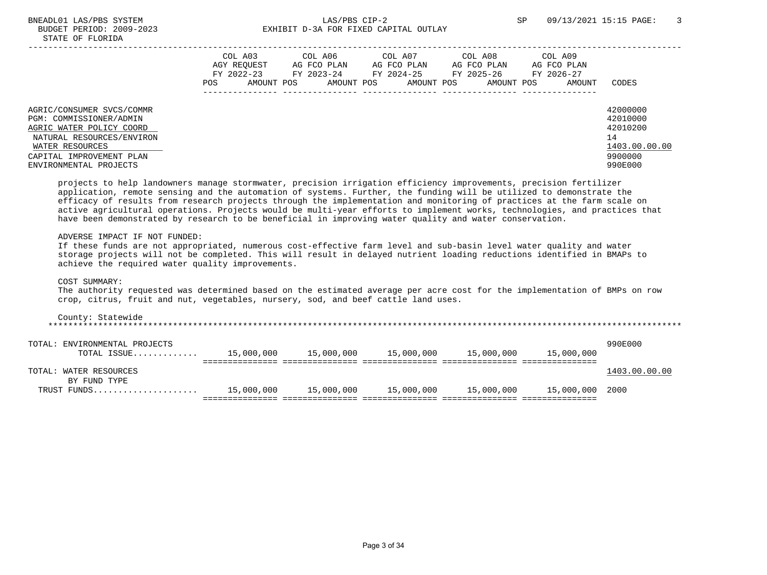|                                                                                                                                                                                        | POS. | COL A03<br>AGY REOUEST<br>FY 2022-23<br>AMOUNT POS | COL A06<br>AG FCO PLAN<br>FY 2023-24<br>AMOUNT POS | COL A07<br>AG FCO PLAN<br>FY 2024-25<br>AMOUNT POS | COL A08<br>AG FCO PLAN<br>FY 2025-26<br>AMOUNT POS | COL A09<br>AG FCO PLAN<br>FY 2026-27<br>AMOUNT | CODES                                                                         |
|----------------------------------------------------------------------------------------------------------------------------------------------------------------------------------------|------|----------------------------------------------------|----------------------------------------------------|----------------------------------------------------|----------------------------------------------------|------------------------------------------------|-------------------------------------------------------------------------------|
| AGRIC/CONSUMER SVCS/COMMR<br>PGM: COMMISSIONER/ADMIN<br>AGRIC WATER POLICY COORD<br>NATURAL RESOURCES/ENVIRON<br>WATER RESOURCES<br>CAPITAL IMPROVEMENT PLAN<br>ENVIRONMENTAL PROJECTS |      |                                                    |                                                    |                                                    |                                                    |                                                | 42000000<br>42010000<br>42010200<br>14<br>1403.00.00.00<br>9900000<br>990E000 |

 projects to help landowners manage stormwater, precision irrigation efficiency improvements, precision fertilizer application, remote sensing and the automation of systems. Further, the funding will be utilized to demonstrate the efficacy of results from research projects through the implementation and monitoring of practices at the farm scale on active agricultural operations. Projects would be multi-year efforts to implement works, technologies, and practices that have been demonstrated by research to be beneficial in improving water quality and water conservation.

## ADVERSE IMPACT IF NOT FUNDED:

 If these funds are not appropriated, numerous cost-effective farm level and sub-basin level water quality and water storage projects will not be completed. This will result in delayed nutrient loading reductions identified in BMAPs to achieve the required water quality improvements.

COST SUMMARY:

 The authority requested was determined based on the estimated average per acre cost for the implementation of BMPs on row crop, citrus, fruit and nut, vegetables, nursery, sod, and beef cattle land uses.

#### County: Statewide \*\*\*\*\*\*\*\*\*\*\*\*\*\*\*\*\*\*\*\*\*\*\*\*\*\*\*\*\*\*\*\*\*\*\*\*\*\*\*\*\*\*\*\*\*\*\*\*\*\*\*\*\*\*\*\*\*\*\*\*\*\*\*\*\*\*\*\*\*\*\*\*\*\*\*\*\*\*\*\*\*\*\*\*\*\*\*\*\*\*\*\*\*\*\*\*\*\*\*\*\*\*\*\*\*\*\*\*\*\*\*\*\*\*\*\*\*\*\*\*\*\*\*\*\*\*\*

| TOTAL: ENVIRONMENTAL PROJECTS<br>TOTAL ISSUE | 15,000,000 | 15,000,000 | 15,000,000 | 15,000,000 | 15,000,000      | 990E000       |
|----------------------------------------------|------------|------------|------------|------------|-----------------|---------------|
| TOTAL: WATER RESOURCES                       |            |            |            |            |                 | 1403.00.00.00 |
| BY FUND TYPE<br>TRUST FUNDS                  | 15,000,000 | 15,000,000 | 15,000,000 | 15,000,000 | 15,000,000 2000 |               |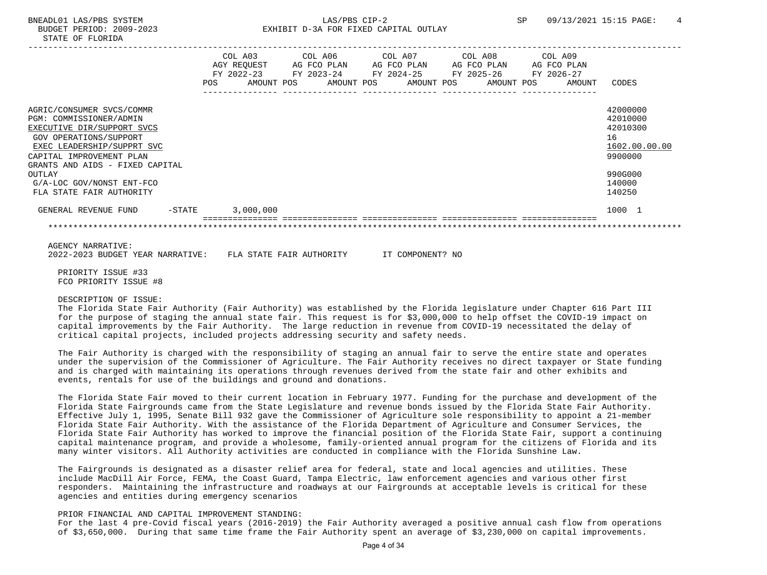## BNEADL01 LAS/PBS SYSTEM  $LAS/PBS$  CIP-2 SP 09/13/2021 15:15 PAGE: 4 BUDGET PERIOD: 2009-2023 EXHIBIT D-3A FOR FIXED CAPITAL OUTLAY

|                                                                                                                                                                                                                                                                              |           | <b>POS</b> | COL A03<br>AGY REOUEST<br>FY 2022-23<br>AMOUNT POS | COL A06<br>AG FCO PLAN<br>FY 2023-24<br>AMOUNT POS | COL A07<br>FY 2024-25 | AG FCO PLAN<br>AMOUNT POS | COL A08<br>AG FCO PLAN<br>FY 2025-26<br>AMOUNT POS | COL A09<br>AG FCO PLAN<br>FY 2026-27<br>AMOUNT | CODES                                                                                             |
|------------------------------------------------------------------------------------------------------------------------------------------------------------------------------------------------------------------------------------------------------------------------------|-----------|------------|----------------------------------------------------|----------------------------------------------------|-----------------------|---------------------------|----------------------------------------------------|------------------------------------------------|---------------------------------------------------------------------------------------------------|
| AGRIC/CONSUMER SVCS/COMMR<br>PGM: COMMISSIONER/ADMIN<br>EXECUTIVE DIR/SUPPORT SVCS<br>GOV OPERATIONS/SUPPORT<br>EXEC LEADERSHIP/SUPPRT SVC<br>CAPITAL IMPROVEMENT PLAN<br>GRANTS AND AIDS - FIXED CAPITAL<br>OUTLAY<br>G/A-LOC GOV/NONST ENT-FCO<br>FLA STATE FAIR AUTHORITY |           |            |                                                    |                                                    |                       |                           |                                                    |                                                | 42000000<br>42010000<br>42010300<br>16<br>1602.00.00.00<br>9900000<br>990G000<br>140000<br>140250 |
| GENERAL REVENUE FUND                                                                                                                                                                                                                                                         | $-$ STATE |            | 3,000,000                                          |                                                    |                       |                           |                                                    |                                                | 1000 1                                                                                            |
|                                                                                                                                                                                                                                                                              |           |            |                                                    |                                                    |                       |                           |                                                    |                                                |                                                                                                   |

AGENCY NARRATIVE:

2022-2023 BUDGET YEAR NARRATIVE: FLA STATE FAIR AUTHORITY IT COMPONENT? NO

 PRIORITY ISSUE #33 FCO PRIORITY ISSUE #8

## DESCRIPTION OF ISSUE:

 The Florida State Fair Authority (Fair Authority) was established by the Florida legislature under Chapter 616 Part III for the purpose of staging the annual state fair. This request is for \$3,000,000 to help offset the COVID-19 impact on capital improvements by the Fair Authority. The large reduction in revenue from COVID-19 necessitated the delay of critical capital projects, included projects addressing security and safety needs.

 The Fair Authority is charged with the responsibility of staging an annual fair to serve the entire state and operates under the supervision of the Commissioner of Agriculture. The Fair Authority receives no direct taxpayer or State funding and is charged with maintaining its operations through revenues derived from the state fair and other exhibits and events, rentals for use of the buildings and ground and donations.

 The Florida State Fair moved to their current location in February 1977. Funding for the purchase and development of the Florida State Fairgrounds came from the State Legislature and revenue bonds issued by the Florida State Fair Authority. Effective July 1, 1995, Senate Bill 932 gave the Commissioner of Agriculture sole responsibility to appoint a 21-member Florida State Fair Authority. With the assistance of the Florida Department of Agriculture and Consumer Services, the Florida State Fair Authority has worked to improve the financial position of the Florida State Fair, support a continuing capital maintenance program, and provide a wholesome, family-oriented annual program for the citizens of Florida and its many winter visitors. All Authority activities are conducted in compliance with the Florida Sunshine Law.

 The Fairgrounds is designated as a disaster relief area for federal, state and local agencies and utilities. These include MacDill Air Force, FEMA, the Coast Guard, Tampa Electric, law enforcement agencies and various other first responders. Maintaining the infrastructure and roadways at our Fairgrounds at acceptable levels is critical for these agencies and entities during emergency scenarios

#### PRIOR FINANCIAL AND CAPITAL IMPROVEMENT STANDING:

 For the last 4 pre-Covid fiscal years (2016-2019) the Fair Authority averaged a positive annual cash flow from operations of \$3,650,000. During that same time frame the Fair Authority spent an average of \$3,230,000 on capital improvements.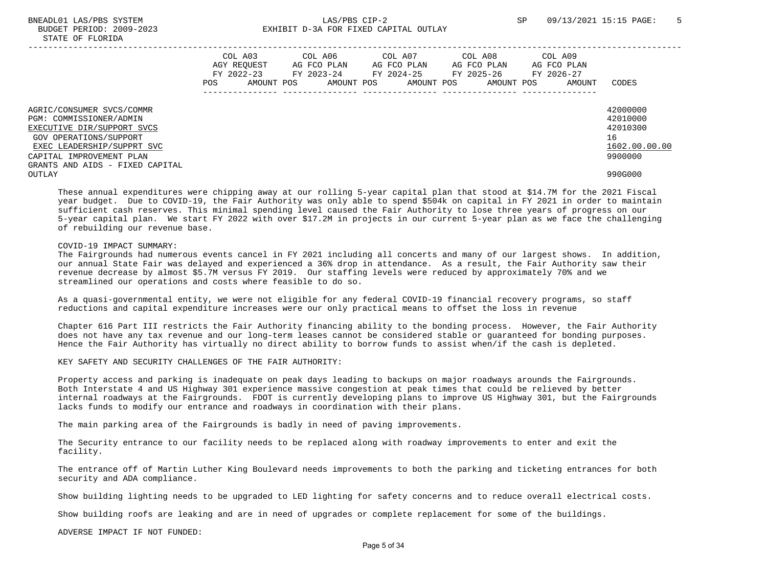|                                 |      | COL A03     | COL A06     | COL A07     |            | COL A08     |  | COL A09     |               |
|---------------------------------|------|-------------|-------------|-------------|------------|-------------|--|-------------|---------------|
|                                 |      | AGY REOUEST | AG FCO PLAN | AG FCO PLAN |            | AG FCO PLAN |  | AG FCO PLAN |               |
|                                 |      | FY 2022-23  | FY 2023-24  | FY 2024-25  |            | FY 2025-26  |  | FY 2026-27  |               |
|                                 | POS. | AMOUNT POS  | AMOUNT POS  |             | AMOUNT POS | AMOUNT POS  |  | AMOUNT      | CODES         |
|                                 |      |             |             |             |            |             |  |             |               |
| AGRIC/CONSUMER SVCS/COMMR       |      |             |             |             |            |             |  |             | 42000000      |
| PGM: COMMISSIONER/ADMIN         |      |             |             |             |            |             |  |             | 42010000      |
| EXECUTIVE DIR/SUPPORT SVCS      |      |             |             |             |            |             |  |             | 42010300      |
| GOV OPERATIONS/SUPPORT          |      |             |             |             |            |             |  |             | 16            |
| EXEC LEADERSHIP/SUPPRT SVC      |      |             |             |             |            |             |  |             | 1602.00.00.00 |
| CAPITAL IMPROVEMENT PLAN        |      |             |             |             |            |             |  |             | 9900000       |
| GRANTS AND AIDS - FIXED CAPITAL |      |             |             |             |            |             |  |             |               |
| OUTLAY                          |      |             |             |             |            |             |  |             | 990G000       |

 These annual expenditures were chipping away at our rolling 5-year capital plan that stood at \$14.7M for the 2021 Fiscal year budget. Due to COVID-19, the Fair Authority was only able to spend \$504k on capital in FY 2021 in order to maintain sufficient cash reserves. This minimal spending level caused the Fair Authority to lose three years of progress on our 5-year capital plan. We start FY 2022 with over \$17.2M in projects in our current 5-year plan as we face the challenging of rebuilding our revenue base.

## COVID-19 IMPACT SUMMARY:

 The Fairgrounds had numerous events cancel in FY 2021 including all concerts and many of our largest shows. In addition, our annual State Fair was delayed and experienced a 36% drop in attendance. As a result, the Fair Authority saw their revenue decrease by almost \$5.7M versus FY 2019. Our staffing levels were reduced by approximately 70% and we streamlined our operations and costs where feasible to do so.

 As a quasi-governmental entity, we were not eligible for any federal COVID-19 financial recovery programs, so staff reductions and capital expenditure increases were our only practical means to offset the loss in revenue

 Chapter 616 Part III restricts the Fair Authority financing ability to the bonding process. However, the Fair Authority does not have any tax revenue and our long-term leases cannot be considered stable or guaranteed for bonding purposes. Hence the Fair Authority has virtually no direct ability to borrow funds to assist when/if the cash is depleted.

## KEY SAFETY AND SECURITY CHALLENGES OF THE FAIR AUTHORITY:

 Property access and parking is inadequate on peak days leading to backups on major roadways arounds the Fairgrounds. Both Interstate 4 and US Highway 301 experience massive congestion at peak times that could be relieved by better internal roadways at the Fairgrounds. FDOT is currently developing plans to improve US Highway 301, but the Fairgrounds lacks funds to modify our entrance and roadways in coordination with their plans.

The main parking area of the Fairgrounds is badly in need of paving improvements.

 The Security entrance to our facility needs to be replaced along with roadway improvements to enter and exit the facility.

 The entrance off of Martin Luther King Boulevard needs improvements to both the parking and ticketing entrances for both security and ADA compliance.

Show building lighting needs to be upgraded to LED lighting for safety concerns and to reduce overall electrical costs.

Show building roofs are leaking and are in need of upgrades or complete replacement for some of the buildings.

ADVERSE IMPACT IF NOT FUNDED: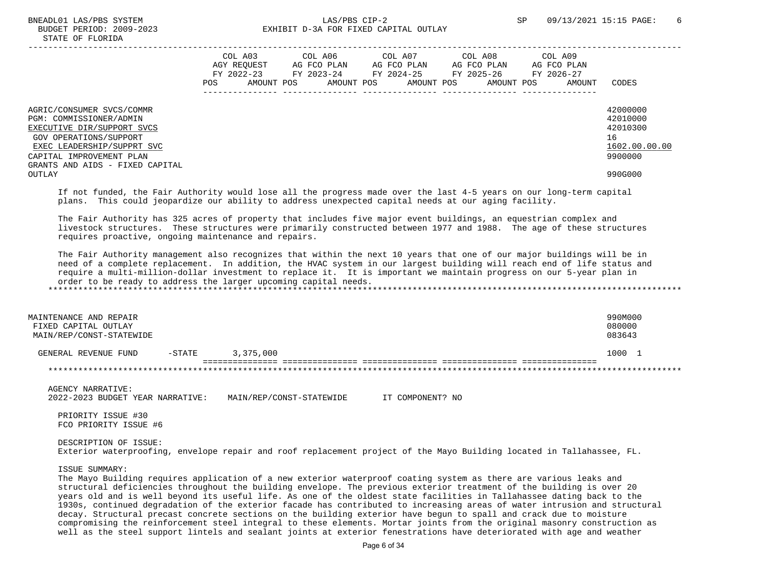|                                                                                                                                                                                                           | POS. | COL A03<br>AGY REOUEST<br>FY 2022-23<br>AMOUNT POS | COL A06<br>AG FCO PLAN<br>FY 2023-24<br>AMOUNT POS | COL A07<br>AG FCO PLAN<br>FY 2024-25 | AMOUNT POS | COL A08<br>AG FCO PLAN<br>FY 2025-26<br>AMOUNT POS | COL A09<br>AG FCO PLAN<br>FY 2026-27<br>AMOUNT | CODES                                                              |
|-----------------------------------------------------------------------------------------------------------------------------------------------------------------------------------------------------------|------|----------------------------------------------------|----------------------------------------------------|--------------------------------------|------------|----------------------------------------------------|------------------------------------------------|--------------------------------------------------------------------|
| AGRIC/CONSUMER SVCS/COMMR<br>PGM: COMMISSIONER/ADMIN<br>EXECUTIVE DIR/SUPPORT SVCS<br>GOV OPERATIONS/SUPPORT<br>EXEC LEADERSHIP/SUPPRT SVC<br>CAPITAL IMPROVEMENT PLAN<br>GRANTS AND AIDS - FIXED CAPITAL |      |                                                    |                                                    |                                      |            |                                                    |                                                | 42000000<br>42010000<br>42010300<br>16<br>1602.00.00.00<br>9900000 |
| OUTLAY                                                                                                                                                                                                    |      |                                                    |                                                    |                                      |            |                                                    |                                                | 990G000                                                            |

 If not funded, the Fair Authority would lose all the progress made over the last 4-5 years on our long-term capital plans. This could jeopardize our ability to address unexpected capital needs at our aging facility.

 The Fair Authority has 325 acres of property that includes five major event buildings, an equestrian complex and livestock structures. These structures were primarily constructed between 1977 and 1988. The age of these structures requires proactive, ongoing maintenance and repairs.

 The Fair Authority management also recognizes that within the next 10 years that one of our major buildings will be in need of a complete replacement. In addition, the HVAC system in our largest building will reach end of life status and require a multi-million-dollar investment to replace it. It is important we maintain progress on our 5-year plan in order to be ready to address the larger upcoming capital needs. \*\*\*\*\*\*\*\*\*\*\*\*\*\*\*\*\*\*\*\*\*\*\*\*\*\*\*\*\*\*\*\*\*\*\*\*\*\*\*\*\*\*\*\*\*\*\*\*\*\*\*\*\*\*\*\*\*\*\*\*\*\*\*\*\*\*\*\*\*\*\*\*\*\*\*\*\*\*\*\*\*\*\*\*\*\*\*\*\*\*\*\*\*\*\*\*\*\*\*\*\*\*\*\*\*\*\*\*\*\*\*\*\*\*\*\*\*\*\*\*\*\*\*\*\*\*\*

| MAINTENANCE AND REPAIR<br>FIXED CAPITAL OUTLAY<br>MAIN/REP/CONST-STATEWIDE |          |           | 990M000<br>080000<br>083643 |  |
|----------------------------------------------------------------------------|----------|-----------|-----------------------------|--|
| GENERAL REVENUE FUND                                                       | $-STATE$ | 3,375,000 | 1000                        |  |
|                                                                            |          |           |                             |  |

AGENCY NARRATIVE:

2022-2023 BUDGET YEAR NARRATIVE: MAIN/REP/CONST-STATEWIDE IT COMPONENT? NO

 PRIORITY ISSUE #30 FCO PRIORITY ISSUE #6

 DESCRIPTION OF ISSUE: Exterior waterproofing, envelope repair and roof replacement project of the Mayo Building located in Tallahassee, FL.

#### ISSUE SUMMARY:

 The Mayo Building requires application of a new exterior waterproof coating system as there are various leaks and structural deficiencies throughout the building envelope. The previous exterior treatment of the building is over 20 years old and is well beyond its useful life. As one of the oldest state facilities in Tallahassee dating back to the 1930s, continued degradation of the exterior facade has contributed to increasing areas of water intrusion and structural decay. Structural precast concrete sections on the building exterior have begun to spall and crack due to moisture compromising the reinforcement steel integral to these elements. Mortar joints from the original masonry construction as well as the steel support lintels and sealant joints at exterior fenestrations have deteriorated with age and weather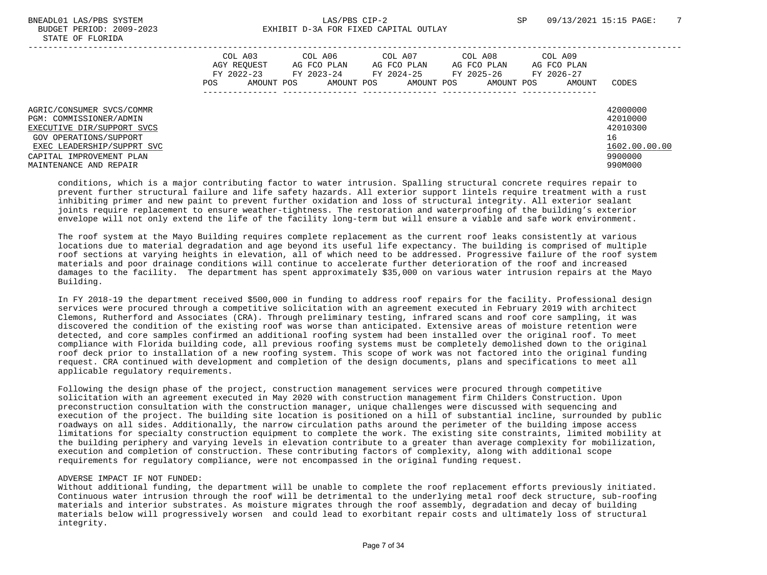# BUDGET PERIOD: 2009-2023 EXHIBIT D-3A FOR FIXED CAPITAL OUTLAY

|                                                                                                                                                                                                  | COL A03<br>AGY REOUEST<br>FY 2022-23<br>POS. | AMOUNT POS | COL A06<br>AG FCO PLAN<br>FY 2023-24<br>AMOUNT POS | COL A07<br>AG FCO PLAN<br>FY 2024-25<br>AMOUNT POS | COL A08<br>AG FCO PLAN<br>FY 2025-26<br>AMOUNT POS | COL A09<br>AG FCO PLAN<br>FY 2026-27<br>AMOUNT | CODES                                                                         |
|--------------------------------------------------------------------------------------------------------------------------------------------------------------------------------------------------|----------------------------------------------|------------|----------------------------------------------------|----------------------------------------------------|----------------------------------------------------|------------------------------------------------|-------------------------------------------------------------------------------|
| AGRIC/CONSUMER SVCS/COMMR<br>PGM: COMMISSIONER/ADMIN<br>EXECUTIVE DIR/SUPPORT SVCS<br>GOV OPERATIONS/SUPPORT<br>EXEC LEADERSHIP/SUPPRT SVC<br>CAPITAL IMPROVEMENT PLAN<br>MAINTENANCE AND REPAIR |                                              |            |                                                    |                                                    |                                                    |                                                | 42000000<br>42010000<br>42010300<br>16<br>1602.00.00.00<br>9900000<br>990M000 |

 conditions, which is a major contributing factor to water intrusion. Spalling structural concrete requires repair to prevent further structural failure and life safety hazards. All exterior support lintels require treatment with a rust inhibiting primer and new paint to prevent further oxidation and loss of structural integrity. All exterior sealant joints require replacement to ensure weather-tightness. The restoration and waterproofing of the building's exterior envelope will not only extend the life of the facility long-term but will ensure a viable and safe work environment.

 The roof system at the Mayo Building requires complete replacement as the current roof leaks consistently at various locations due to material degradation and age beyond its useful life expectancy. The building is comprised of multiple roof sections at varying heights in elevation, all of which need to be addressed. Progressive failure of the roof system materials and poor drainage conditions will continue to accelerate further deterioration of the roof and increased damages to the facility. The department has spent approximately \$35,000 on various water intrusion repairs at the Mayo Building.

 In FY 2018-19 the department received \$500,000 in funding to address roof repairs for the facility. Professional design services were procured through a competitive solicitation with an agreement executed in February 2019 with architect Clemons, Rutherford and Associates (CRA). Through preliminary testing, infrared scans and roof core sampling, it was discovered the condition of the existing roof was worse than anticipated. Extensive areas of moisture retention were detected, and core samples confirmed an additional roofing system had been installed over the original roof. To meet compliance with Florida building code, all previous roofing systems must be completely demolished down to the original roof deck prior to installation of a new roofing system. This scope of work was not factored into the original funding request. CRA continued with development and completion of the design documents, plans and specifications to meet all applicable regulatory requirements.

 Following the design phase of the project, construction management services were procured through competitive solicitation with an agreement executed in May 2020 with construction management firm Childers Construction. Upon preconstruction consultation with the construction manager, unique challenges were discussed with sequencing and execution of the project. The building site location is positioned on a hill of substantial incline, surrounded by public roadways on all sides. Additionally, the narrow circulation paths around the perimeter of the building impose access limitations for specialty construction equipment to complete the work. The existing site constraints, limited mobility at the building periphery and varying levels in elevation contribute to a greater than average complexity for mobilization, execution and completion of construction. These contributing factors of complexity, along with additional scope requirements for regulatory compliance, were not encompassed in the original funding request.

## ADVERSE IMPACT IF NOT FUNDED:

 Without additional funding, the department will be unable to complete the roof replacement efforts previously initiated. Continuous water intrusion through the roof will be detrimental to the underlying metal roof deck structure, sub-roofing materials and interior substrates. As moisture migrates through the roof assembly, degradation and decay of building materials below will progressively worsen and could lead to exorbitant repair costs and ultimately loss of structural integrity.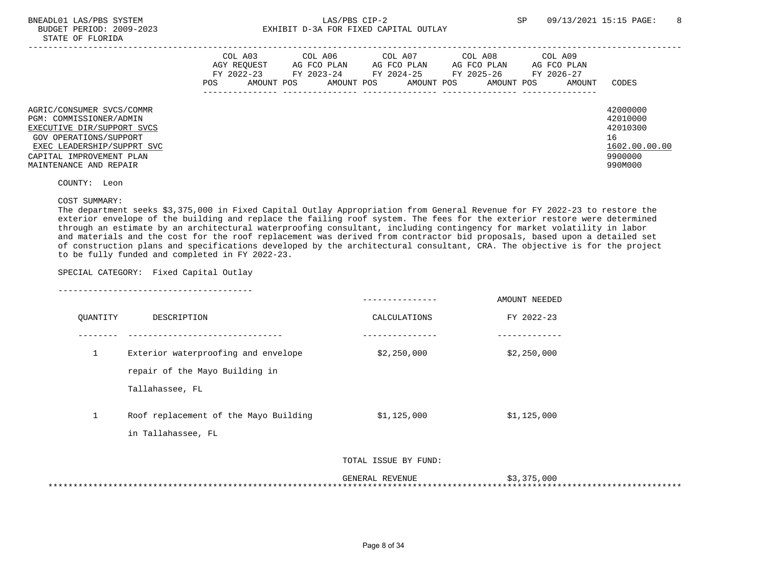|                                                                                                                                                                                                  | COL A03<br>AGY REOUEST<br>FY 2022-23<br>POS. | AMOUNT POS | COL A06<br>AG FCO PLAN<br>FY 2023-24<br>AMOUNT POS | COL A07<br>AG FCO PLAN<br>FY 2024-25<br>AMOUNT POS | COL A08<br>AG FCO PLAN<br>FY 2025-26<br>AMOUNT POS | COL A09<br>AG FCO PLAN<br>FY 2026-27<br>AMOUNT | CODES                                                                         |
|--------------------------------------------------------------------------------------------------------------------------------------------------------------------------------------------------|----------------------------------------------|------------|----------------------------------------------------|----------------------------------------------------|----------------------------------------------------|------------------------------------------------|-------------------------------------------------------------------------------|
| AGRIC/CONSUMER SVCS/COMMR<br>PGM: COMMISSIONER/ADMIN<br>EXECUTIVE DIR/SUPPORT SVCS<br>GOV OPERATIONS/SUPPORT<br>EXEC LEADERSHIP/SUPPRT SVC<br>CAPITAL IMPROVEMENT PLAN<br>MAINTENANCE AND REPAIR |                                              |            |                                                    |                                                    |                                                    |                                                | 42000000<br>42010000<br>42010300<br>16<br>1602.00.00.00<br>9900000<br>990M000 |

COUNTY: Leon

COST SUMMARY:

 The department seeks \$3,375,000 in Fixed Capital Outlay Appropriation from General Revenue for FY 2022-23 to restore the exterior envelope of the building and replace the failing roof system. The fees for the exterior restore were determined through an estimate by an architectural waterproofing consultant, including contingency for market volatility in labor and materials and the cost for the roof replacement was derived from contractor bid proposals, based upon a detailed set of construction plans and specifications developed by the architectural consultant, CRA. The objective is for the project to be fully funded and completed in FY 2022-23.

SPECIAL CATEGORY: Fixed Capital Outlay

|          |                                                             |              | AMOUNT NEEDED |  |
|----------|-------------------------------------------------------------|--------------|---------------|--|
| OUANTITY | DESCRIPTION                                                 | CALCULATIONS | FY 2022-23    |  |
|          |                                                             |              |               |  |
| 1        | Exterior waterproofing and envelope                         | \$2,250,000  | \$2,250,000   |  |
|          | repair of the Mayo Building in                              |              |               |  |
|          | Tallahassee, FL                                             |              |               |  |
| 1        | Roof replacement of the Mayo Building<br>in Tallahassee, FL | \$1,125,000  | \$1,125,000   |  |
|          |                                                             |              |               |  |

### TOTAL ISSUE BY FUND:

 GENERAL REVENUE \$3,375,000 \*\*\*\*\*\*\*\*\*\*\*\*\*\*\*\*\*\*\*\*\*\*\*\*\*\*\*\*\*\*\*\*\*\*\*\*\*\*\*\*\*\*\*\*\*\*\*\*\*\*\*\*\*\*\*\*\*\*\*\*\*\*\*\*\*\*\*\*\*\*\*\*\*\*\*\*\*\*\*\*\*\*\*\*\*\*\*\*\*\*\*\*\*\*\*\*\*\*\*\*\*\*\*\*\*\*\*\*\*\*\*\*\*\*\*\*\*\*\*\*\*\*\*\*\*\*\*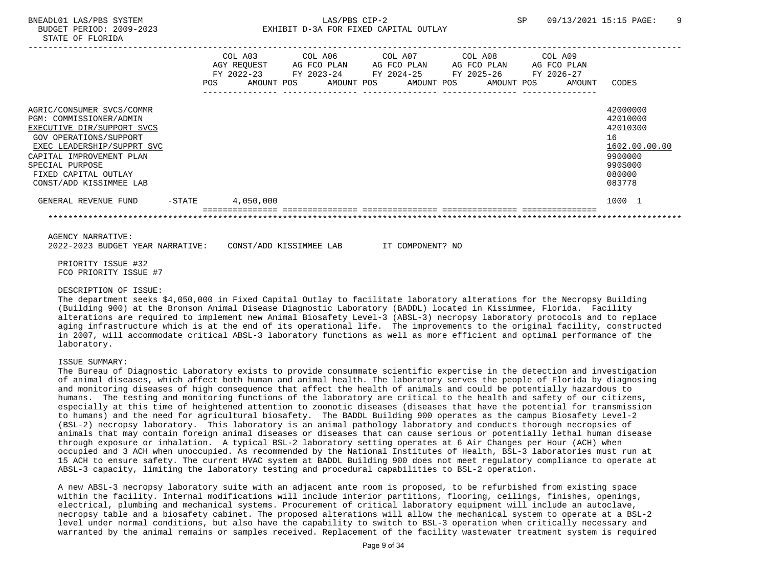BNEADL01 LAS/PBS SYSTEM  $LAS/PBS$  CIP-2  $SPP$  SP 09/13/2021 15:15 PAGE: 9

| STATE OF FLORIDA                                                                                                                                                                                                                             |           |     |           |                                                                                                                                             |  |                        |                        |  |                        |        |                                                                                                   |
|----------------------------------------------------------------------------------------------------------------------------------------------------------------------------------------------------------------------------------------------|-----------|-----|-----------|---------------------------------------------------------------------------------------------------------------------------------------------|--|------------------------|------------------------|--|------------------------|--------|---------------------------------------------------------------------------------------------------|
|                                                                                                                                                                                                                                              |           | POS | COL A03   | COL A06<br>AGY REOUEST AG FCO PLAN<br>FY 2022-23 FY 2023-24 FY 2024-25 FY 2025-26 FY 2026-27<br>AMOUNT POS AMOUNT POS AMOUNT POS AMOUNT POS |  | COL A07<br>AG FCO PLAN | COL A08<br>AG FCO PLAN |  | COL A09<br>AG FCO PLAN | AMOUNT | CODES                                                                                             |
| AGRIC/CONSUMER SVCS/COMMR<br>PGM: COMMISSIONER/ADMIN<br>EXECUTIVE DIR/SUPPORT SVCS<br>GOV OPERATIONS/SUPPORT<br>EXEC LEADERSHIP/SUPPRT SVC<br>CAPITAL IMPROVEMENT PLAN<br>SPECIAL PURPOSE<br>FIXED CAPITAL OUTLAY<br>CONST/ADD KISSIMMEE LAB |           |     |           |                                                                                                                                             |  |                        |                        |  |                        |        | 42000000<br>42010000<br>42010300<br>16<br>1602.00.00.00<br>9900000<br>990S000<br>080000<br>083778 |
| GENERAL REVENUE FUND                                                                                                                                                                                                                         | $-$ STATE |     | 4,050,000 |                                                                                                                                             |  |                        |                        |  |                        |        | 1000 1                                                                                            |
|                                                                                                                                                                                                                                              |           |     |           |                                                                                                                                             |  |                        |                        |  |                        |        |                                                                                                   |
| AGENCY NARRATIVE:                                                                                                                                                                                                                            |           |     |           |                                                                                                                                             |  |                        |                        |  |                        |        |                                                                                                   |

BUBLETT D-3A FOR FIXED CAPITAL OUTLAY

2022-2023 BUDGET YEAR NARRATIVE: CONST/ADD KISSIMMEE LAB IT COMPONENT? NO

 PRIORITY ISSUE #32 FCO PRIORITY ISSUE #7

#### DESCRIPTION OF ISSUE:

 The department seeks \$4,050,000 in Fixed Capital Outlay to facilitate laboratory alterations for the Necropsy Building (Building 900) at the Bronson Animal Disease Diagnostic Laboratory (BADDL) located in Kissimmee, Florida. Facility alterations are required to implement new Animal Biosafety Level-3 (ABSL-3) necropsy laboratory protocols and to replace aging infrastructure which is at the end of its operational life. The improvements to the original facility, constructed in 2007, will accommodate critical ABSL-3 laboratory functions as well as more efficient and optimal performance of the laboratory.

## ISSUE SUMMARY:

 The Bureau of Diagnostic Laboratory exists to provide consummate scientific expertise in the detection and investigation of animal diseases, which affect both human and animal health. The laboratory serves the people of Florida by diagnosing and monitoring diseases of high consequence that affect the health of animals and could be potentially hazardous to humans. The testing and monitoring functions of the laboratory are critical to the health and safety of our citizens, especially at this time of heightened attention to zoonotic diseases (diseases that have the potential for transmission to humans) and the need for agricultural biosafety. The BADDL Building 900 operates as the campus Biosafety Level-2 (BSL-2) necropsy laboratory. This laboratory is an animal pathology laboratory and conducts thorough necropsies of animals that may contain foreign animal diseases or diseases that can cause serious or potentially lethal human disease through exposure or inhalation. A typical BSL-2 laboratory setting operates at 6 Air Changes per Hour (ACH) when occupied and 3 ACH when unoccupied. As recommended by the National Institutes of Health, BSL-3 laboratories must run at 15 ACH to ensure safety. The current HVAC system at BADDL Building 900 does not meet regulatory compliance to operate at ABSL-3 capacity, limiting the laboratory testing and procedural capabilities to BSL-2 operation.

 A new ABSL-3 necropsy laboratory suite with an adjacent ante room is proposed, to be refurbished from existing space within the facility. Internal modifications will include interior partitions, flooring, ceilings, finishes, openings, electrical, plumbing and mechanical systems. Procurement of critical laboratory equipment will include an autoclave, necropsy table and a biosafety cabinet. The proposed alterations will allow the mechanical system to operate at a BSL-2 level under normal conditions, but also have the capability to switch to BSL-3 operation when critically necessary and warranted by the animal remains or samples received. Replacement of the facility wastewater treatment system is required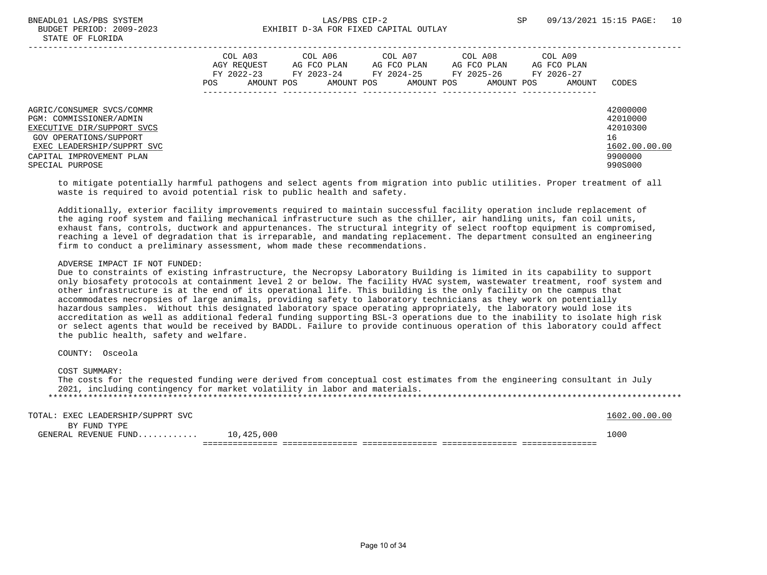|                                                       | COL A03<br>AGY REOUEST |            | COL A06<br>AG FCO PLAN   | COL A07<br>AG FCO PLAN   | COL A08<br>AG FCO PLAN   | COL A09<br>AG FCO PLAN |                      |  |
|-------------------------------------------------------|------------------------|------------|--------------------------|--------------------------|--------------------------|------------------------|----------------------|--|
|                                                       | FY 2022-23<br>POS.     | AMOUNT POS | FY 2023-24<br>AMOUNT POS | FY 2024-25<br>AMOUNT POS | FY 2025-26<br>AMOUNT POS | FY 2026-27<br>AMOUNT   | CODES                |  |
| AGRIC/CONSUMER SVCS/COMMR                             |                        |            |                          |                          |                          |                        | 42000000             |  |
| PGM: COMMISSIONER/ADMIN<br>EXECUTIVE DIR/SUPPORT SVCS |                        |            |                          |                          |                          |                        | 42010000<br>42010300 |  |
| GOV OPERATIONS/SUPPORT<br>EXEC LEADERSHIP/SUPPRT SVC  |                        |            |                          |                          |                          |                        | 16<br>1602.00.00.00  |  |
| CAPITAL IMPROVEMENT PLAN<br>SPECIAL PURPOSE           |                        |            |                          |                          |                          |                        | 9900000<br>990S000   |  |

 to mitigate potentially harmful pathogens and select agents from migration into public utilities. Proper treatment of all waste is required to avoid potential risk to public health and safety.

 Additionally, exterior facility improvements required to maintain successful facility operation include replacement of the aging roof system and failing mechanical infrastructure such as the chiller, air handling units, fan coil units, exhaust fans, controls, ductwork and appurtenances. The structural integrity of select rooftop equipment is compromised, reaching a level of degradation that is irreparable, and mandating replacement. The department consulted an engineering firm to conduct a preliminary assessment, whom made these recommendations.

## ADVERSE IMPACT IF NOT FUNDED:

 Due to constraints of existing infrastructure, the Necropsy Laboratory Building is limited in its capability to support only biosafety protocols at containment level 2 or below. The facility HVAC system, wastewater treatment, roof system and other infrastructure is at the end of its operational life. This building is the only facility on the campus that accommodates necropsies of large animals, providing safety to laboratory technicians as they work on potentially hazardous samples. Without this designated laboratory space operating appropriately, the laboratory would lose its accreditation as well as additional federal funding supporting BSL-3 operations due to the inability to isolate high risk or select agents that would be received by BADDL. Failure to provide continuous operation of this laboratory could affect the public health, safety and welfare.

COUNTY: Osceola

COST SUMMARY:

 The costs for the requested funding were derived from conceptual cost estimates from the engineering consultant in July 2021, including contingency for market volatility in labor and materials. \*\*\*\*\*\*\*\*\*\*\*\*\*\*\*\*\*\*\*\*\*\*\*\*\*\*\*\*\*\*\*\*\*\*\*\*\*\*\*\*\*\*\*\*\*\*\*\*\*\*\*\*\*\*\*\*\*\*\*\*\*\*\*\*\*\*\*\*\*\*\*\*\*\*\*\*\*\*\*\*\*\*\*\*\*\*\*\*\*\*\*\*\*\*\*\*\*\*\*\*\*\*\*\*\*\*\*\*\*\*\*\*\*\*\*\*\*\*\*\*\*\*\*\*\*\*\*

| EXEC LEADERSHIP/SUPPRT SVC<br>TOTAL. |            | 1602.00.00.00 |
|--------------------------------------|------------|---------------|
| TYPE<br>BY<br>FUND                   |            |               |
| GENERAL REVENUE FUND                 | 10,425,000 | 1000          |
|                                      |            |               |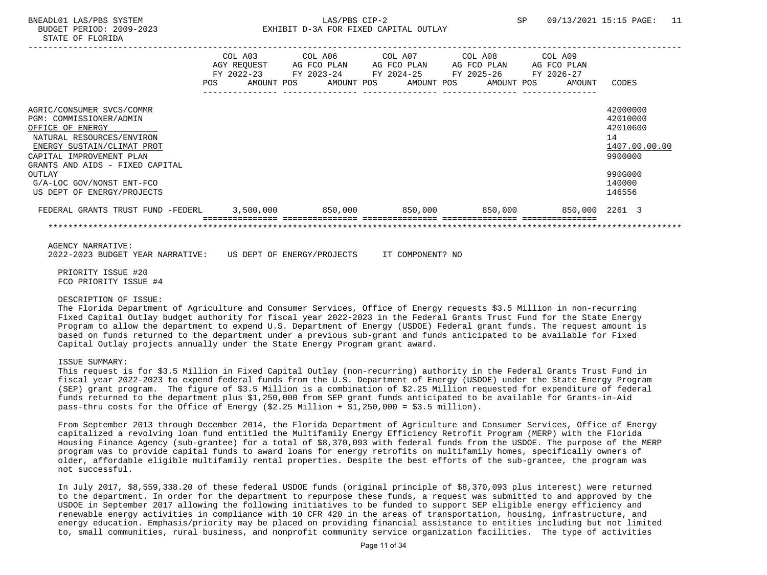| TЕ | $\sim$ $\sim$ |  |
|----|---------------|--|
|    |               |  |

|                                   | <b>POS</b> | COL A03<br>AGY REOUEST<br>FY 2022-23<br>AMOUNT POS | COL A06<br>AG FCO PLAN<br>FY 2023-24 | AMOUNT POS | COL A07<br>AG FCO PLAN<br>FY 2024-25 | AMOUNT POS | COL A08<br>AG FCO PLAN<br>FY 2025-26 | AMOUNT POS | COL A09<br>AG FCO PLAN<br>FY 2026-27<br>AMOUNT | CODES         |
|-----------------------------------|------------|----------------------------------------------------|--------------------------------------|------------|--------------------------------------|------------|--------------------------------------|------------|------------------------------------------------|---------------|
| AGRIC/CONSUMER SVCS/COMMR         |            |                                                    |                                      |            |                                      |            |                                      |            |                                                | 42000000      |
| PGM: COMMISSIONER/ADMIN           |            |                                                    |                                      |            |                                      |            |                                      |            |                                                | 42010000      |
| OFFICE OF ENERGY                  |            |                                                    |                                      |            |                                      |            |                                      |            |                                                | 42010600      |
| NATURAL RESOURCES/ENVIRON         |            |                                                    |                                      |            |                                      |            |                                      |            |                                                | 14            |
| ENERGY SUSTAIN/CLIMAT PROT        |            |                                                    |                                      |            |                                      |            |                                      |            |                                                | 1407.00.00.00 |
| CAPITAL IMPROVEMENT PLAN          |            |                                                    |                                      |            |                                      |            |                                      |            |                                                | 9900000       |
| GRANTS AND AIDS - FIXED CAPITAL   |            |                                                    |                                      |            |                                      |            |                                      |            |                                                |               |
| OUTLAY                            |            |                                                    |                                      |            |                                      |            |                                      |            |                                                | 990G000       |
| G/A-LOC GOV/NONST ENT-FCO         |            |                                                    |                                      |            |                                      |            |                                      |            |                                                | 140000        |
| US DEPT OF ENERGY/PROJECTS        |            |                                                    |                                      |            |                                      |            |                                      |            |                                                | 146556        |
| FEDERAL GRANTS TRUST FUND -FEDERL |            | 3,500,000                                          |                                      | 850,000    |                                      | 850,000    |                                      | 850,000    | 850,000                                        | 2261 3        |
|                                   |            |                                                    |                                      |            |                                      |            |                                      |            |                                                |               |

AGENCY NARRATIVE:

2022-2023 BUDGET YEAR NARRATIVE: US DEPT OF ENERGY/PROJECTS IT COMPONENT? NO

 PRIORITY ISSUE #20 FCO PRIORITY ISSUE #4

#### DESCRIPTION OF ISSUE:

 The Florida Department of Agriculture and Consumer Services, Office of Energy requests \$3.5 Million in non-recurring Fixed Capital Outlay budget authority for fiscal year 2022-2023 in the Federal Grants Trust Fund for the State Energy Program to allow the department to expend U.S. Department of Energy (USDOE) Federal grant funds. The request amount is based on funds returned to the department under a previous sub-grant and funds anticipated to be available for Fixed Capital Outlay projects annually under the State Energy Program grant award.

## ISSUE SUMMARY:

 This request is for \$3.5 Million in Fixed Capital Outlay (non-recurring) authority in the Federal Grants Trust Fund in fiscal year 2022-2023 to expend federal funds from the U.S. Department of Energy (USDOE) under the State Energy Program (SEP) grant program. The figure of \$3.5 Million is a combination of \$2.25 Million requested for expenditure of federal funds returned to the department plus \$1,250,000 from SEP grant funds anticipated to be available for Grants-in-Aid pass-thru costs for the Office of Energy (\$2.25 Million + \$1,250,000 = \$3.5 million).

 From September 2013 through December 2014, the Florida Department of Agriculture and Consumer Services, Office of Energy capitalized a revolving loan fund entitled the Multifamily Energy Efficiency Retrofit Program (MERP) with the Florida Housing Finance Agency (sub-grantee) for a total of \$8,370,093 with federal funds from the USDOE. The purpose of the MERP program was to provide capital funds to award loans for energy retrofits on multifamily homes, specifically owners of older, affordable eligible multifamily rental properties. Despite the best efforts of the sub-grantee, the program was not successful.

 In July 2017, \$8,559,338.20 of these federal USDOE funds (original principle of \$8,370,093 plus interest) were returned to the department. In order for the department to repurpose these funds, a request was submitted to and approved by the USDOE in September 2017 allowing the following initiatives to be funded to support SEP eligible energy efficiency and renewable energy activities in compliance with 10 CFR 420 in the areas of transportation, housing, infrastructure, and energy education. Emphasis/priority may be placed on providing financial assistance to entities including but not limited to, small communities, rural business, and nonprofit community service organization facilities. The type of activities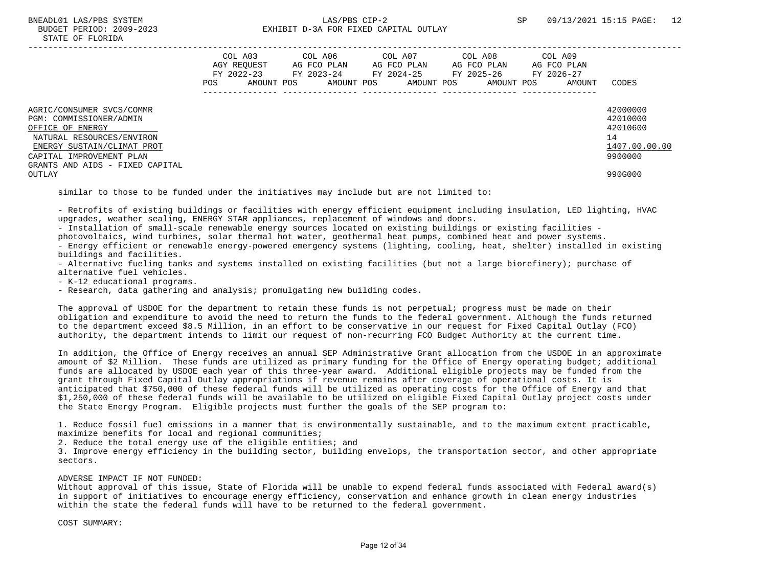|                                                             | COL A03                   |            | COL A06<br>AG FCO PLAN |            |            | COL A07<br>AG FCO PLAN |            | COL A08<br>AG FCO PLAN |            | COL A09<br>AG FCO PLAN |                |
|-------------------------------------------------------------|---------------------------|------------|------------------------|------------|------------|------------------------|------------|------------------------|------------|------------------------|----------------|
|                                                             | AGY REOUEST<br>FY 2022-23 |            | FY 2023-24             |            | FY 2024-25 |                        | FY 2025-26 |                        | FY 2026-27 |                        |                |
|                                                             | POS                       | AMOUNT POS |                        | AMOUNT POS |            | AMOUNT POS             |            | AMOUNT POS             |            | AMOUNT                 | CODES          |
| AGRIC/CONSUMER SVCS/COMMR                                   |                           |            |                        |            |            |                        |            |                        |            |                        | 42000000       |
| PGM: COMMISSIONER/ADMIN                                     |                           |            |                        |            |            |                        |            |                        |            |                        | 42010000       |
| OFFICE OF ENERGY<br>NATURAL RESOURCES/ENVIRON               |                           |            |                        |            |            |                        |            |                        |            |                        | 42010600<br>14 |
| ENERGY SUSTAIN/CLIMAT PROT                                  |                           |            |                        |            |            |                        |            |                        |            |                        | 1407.00.00.00  |
| CAPITAL IMPROVEMENT PLAN<br>GRANTS AND AIDS - FIXED CAPITAL |                           |            |                        |            |            |                        |            |                        |            |                        | 9900000        |
| OUTLAY                                                      |                           |            |                        |            |            |                        |            |                        |            |                        | 990G000        |

similar to those to be funded under the initiatives may include but are not limited to:

 - Retrofits of existing buildings or facilities with energy efficient equipment including insulation, LED lighting, HVAC upgrades, weather sealing, ENERGY STAR appliances, replacement of windows and doors.

- Installation of small-scale renewable energy sources located on existing buildings or existing facilities -

photovoltaics, wind turbines, solar thermal hot water, geothermal heat pumps, combined heat and power systems.

 - Energy efficient or renewable energy-powered emergency systems (lighting, cooling, heat, shelter) installed in existing buildings and facilities.

 - Alternative fueling tanks and systems installed on existing facilities (but not a large biorefinery); purchase of alternative fuel vehicles.

- K-12 educational programs.

- Research, data gathering and analysis; promulgating new building codes.

 The approval of USDOE for the department to retain these funds is not perpetual; progress must be made on their obligation and expenditure to avoid the need to return the funds to the federal government. Although the funds returned to the department exceed \$8.5 Million, in an effort to be conservative in our request for Fixed Capital Outlay (FCO) authority, the department intends to limit our request of non-recurring FCO Budget Authority at the current time.

 In addition, the Office of Energy receives an annual SEP Administrative Grant allocation from the USDOE in an approximate amount of \$2 Million. These funds are utilized as primary funding for the Office of Energy operating budget; additional funds are allocated by USDOE each year of this three-year award. Additional eligible projects may be funded from the grant through Fixed Capital Outlay appropriations if revenue remains after coverage of operational costs. It is anticipated that \$750,000 of these federal funds will be utilized as operating costs for the Office of Energy and that \$1,250,000 of these federal funds will be available to be utilized on eligible Fixed Capital Outlay project costs under the State Energy Program. Eligible projects must further the goals of the SEP program to:

 1. Reduce fossil fuel emissions in a manner that is environmentally sustainable, and to the maximum extent practicable, maximize benefits for local and regional communities;

2. Reduce the total energy use of the eligible entities; and

 3. Improve energy efficiency in the building sector, building envelops, the transportation sector, and other appropriate sectors.

## ADVERSE IMPACT IF NOT FUNDED:

 Without approval of this issue, State of Florida will be unable to expend federal funds associated with Federal award(s) in support of initiatives to encourage energy efficiency, conservation and enhance growth in clean energy industries within the state the federal funds will have to be returned to the federal government.

COST SUMMARY: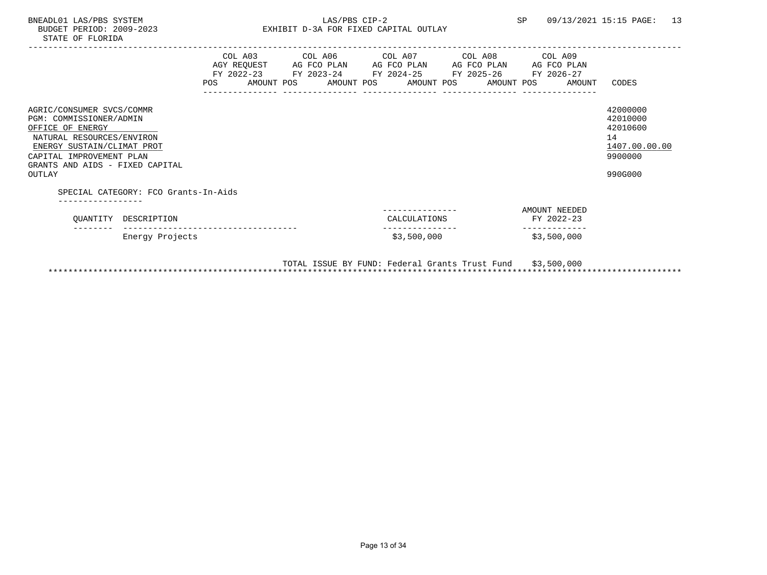|                                                                                                                                                                                                              | POS | AGY REQUEST AG FCO PLAN | AG FCO PLAN<br>FY 2022-23 FY 2023-24 FY 2024-25 FY 2025-26 FY 2026-27<br>AMOUNT POS AMOUNT POS AMOUNT POS AMOUNT POS | AG FCO PLAN | COL A09<br>AG FCO PLAN<br>AMOUNT | CODES                                                                         |
|--------------------------------------------------------------------------------------------------------------------------------------------------------------------------------------------------------------|-----|-------------------------|----------------------------------------------------------------------------------------------------------------------|-------------|----------------------------------|-------------------------------------------------------------------------------|
| AGRIC/CONSUMER SVCS/COMMR<br>PGM: COMMISSIONER/ADMIN<br>OFFICE OF ENERGY<br>NATURAL RESOURCES/ENVIRON<br>ENERGY SUSTAIN/CLIMAT PROT<br>CAPITAL IMPROVEMENT PLAN<br>GRANTS AND AIDS - FIXED CAPITAL<br>OUTLAY |     |                         |                                                                                                                      |             |                                  | 42000000<br>42010000<br>42010600<br>14<br>1407.00.00.00<br>9900000<br>990G000 |
| SPECIAL CATEGORY: FCO Grants-In-Aids                                                                                                                                                                         |     |                         |                                                                                                                      |             |                                  |                                                                               |
| OUANTITY<br>DESCRIPTION                                                                                                                                                                                      |     |                         | CALCULATIONS                                                                                                         |             | AMOUNT NEEDED<br>FY 2022-23      |                                                                               |
| Energy Projects                                                                                                                                                                                              |     |                         | \$3,500,000                                                                                                          |             | \$3,500,000                      |                                                                               |

 TOTAL ISSUE BY FUND: Federal Grants Trust Fund \$3,500,000 \*\*\*\*\*\*\*\*\*\*\*\*\*\*\*\*\*\*\*\*\*\*\*\*\*\*\*\*\*\*\*\*\*\*\*\*\*\*\*\*\*\*\*\*\*\*\*\*\*\*\*\*\*\*\*\*\*\*\*\*\*\*\*\*\*\*\*\*\*\*\*\*\*\*\*\*\*\*\*\*\*\*\*\*\*\*\*\*\*\*\*\*\*\*\*\*\*\*\*\*\*\*\*\*\*\*\*\*\*\*\*\*\*\*\*\*\*\*\*\*\*\*\*\*\*\*\*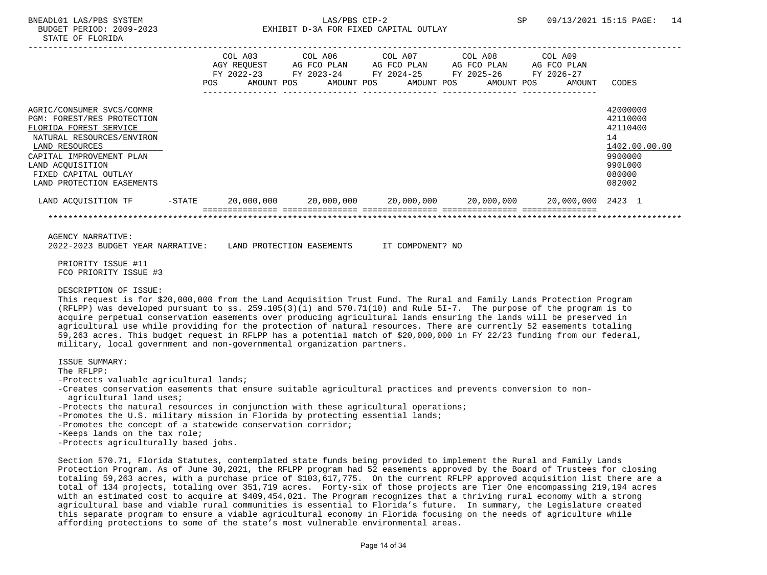# BUDGET PERIOD: 2009-2023 EXHIBIT D-3A FOR FIXED CAPITAL OUTLAY

|                                                                                                                                                                                                                                       | COL A03 COL A06 COL A07 COL A08 COL A09<br>AGY REQUEST AG FCO PLAN AG FCO PLAN AG FCO PLAN AG FCO PLAN<br>FY 2022-23 FY 2023-24 FY 2024-25 FY 2025-26 FY 2026-27<br><b>POS</b> |  |  | AMOUNT POS AMOUNT POS AMOUNT POS AMOUNT POS | AMOUNT | CODES                                                                                             |
|---------------------------------------------------------------------------------------------------------------------------------------------------------------------------------------------------------------------------------------|--------------------------------------------------------------------------------------------------------------------------------------------------------------------------------|--|--|---------------------------------------------|--------|---------------------------------------------------------------------------------------------------|
| AGRIC/CONSUMER SVCS/COMMR<br>PGM: FOREST/RES PROTECTION<br>FLORIDA FOREST SERVICE<br>NATURAL RESOURCES/ENVIRON<br>LAND RESOURCES<br>CAPITAL IMPROVEMENT PLAN<br>LAND ACQUISITION<br>FIXED CAPITAL OUTLAY<br>LAND PROTECTION EASEMENTS |                                                                                                                                                                                |  |  |                                             |        | 42000000<br>42110000<br>42110400<br>14<br>1402.00.00.00<br>9900000<br>990L000<br>080000<br>082002 |
|                                                                                                                                                                                                                                       |                                                                                                                                                                                |  |  |                                             |        |                                                                                                   |
|                                                                                                                                                                                                                                       |                                                                                                                                                                                |  |  |                                             |        |                                                                                                   |
| AGENCY NARRATIVE:<br>2022-2023 BUDGET YEAR NARRATIVE: LAND PROTECTION EASEMENTS IT COMPONENT? NO<br>PRIORITY ISSUE #11<br>FCO PRIORITY ISSUE #3                                                                                       |                                                                                                                                                                                |  |  |                                             |        |                                                                                                   |
|                                                                                                                                                                                                                                       |                                                                                                                                                                                |  |  |                                             |        |                                                                                                   |

#### DESCRIPTION OF ISSUE:

 This request is for \$20,000,000 from the Land Acquisition Trust Fund. The Rural and Family Lands Protection Program (RFLPP) was developed pursuant to ss. 259.105(3)(i) and 570.71(10) and Rule 5I-7. The purpose of the program is to acquire perpetual conservation easements over producing agricultural lands ensuring the lands will be preserved in agricultural use while providing for the protection of natural resources. There are currently 52 easements totaling 59,263 acres. This budget request in RFLPP has a potential match of \$20,000,000 in FY 22/23 funding from our federal, military, local government and non-governmental organization partners.

ISSUE SUMMARY:

The RFLPP:

-Protects valuable agricultural lands;

 -Creates conservation easements that ensure suitable agricultural practices and prevents conversion to non agricultural land uses;

-Protects the natural resources in conjunction with these agricultural operations;

-Promotes the U.S. military mission in Florida by protecting essential lands;

-Promotes the concept of a statewide conservation corridor;

-Keeps lands on the tax role;

-Protects agriculturally based jobs.

 Section 570.71, Florida Statutes, contemplated state funds being provided to implement the Rural and Family Lands Protection Program. As of June 30,2021, the RFLPP program had 52 easements approved by the Board of Trustees for closing totaling 59,263 acres, with a purchase price of \$103,617,775. On the current RFLPP approved acquisition list there are a total of 134 projects, totaling over 351,719 acres. Forty-six of those projects are Tier One encompassing 219,194 acres with an estimated cost to acquire at \$409,454,021. The Program recognizes that a thriving rural economy with a strong agricultural base and viable rural communities is essential to Florida's future. In summary, the Legislature created this separate program to ensure a viable agricultural economy in Florida focusing on the needs of agriculture while affording protections to some of the state's most vulnerable environmental areas.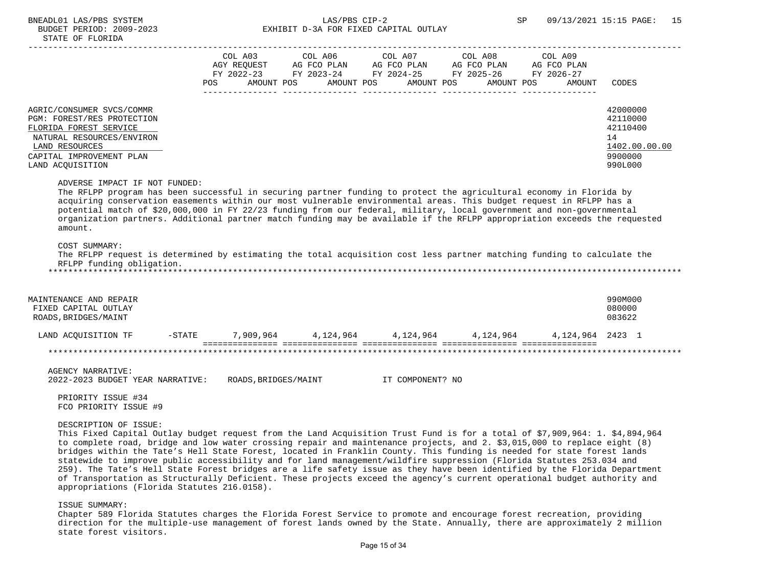|                                                                                                                                                                                  | POS | COL A03<br>AGY REOUEST<br>FY 2022-23<br>AMOUNT POS | COL A06<br>AG FCO PLAN<br>FY 2023-24<br>AMOUNT POS | COL A07<br>AG FCO PLAN<br>FY 2024-25 | AMOUNT POS | COL A08<br>AG FCO PLAN<br>FY 2025-26<br>AMOUNT POS | COL A09<br>AG FCO PLAN<br>FY 2026-27<br>AMOUNT | CODES                                                                         |
|----------------------------------------------------------------------------------------------------------------------------------------------------------------------------------|-----|----------------------------------------------------|----------------------------------------------------|--------------------------------------|------------|----------------------------------------------------|------------------------------------------------|-------------------------------------------------------------------------------|
| AGRIC/CONSUMER SVCS/COMMR<br>PGM: FOREST/RES PROTECTION<br>FLORIDA FOREST SERVICE<br>NATURAL RESOURCES/ENVIRON<br>LAND RESOURCES<br>CAPITAL IMPROVEMENT PLAN<br>LAND ACOUISITION |     |                                                    |                                                    |                                      |            |                                                    |                                                | 42000000<br>42110000<br>42110400<br>14<br>1402.00.00.00<br>9900000<br>990L000 |

#### ADVERSE IMPACT IF NOT FUNDED:

 The RFLPP program has been successful in securing partner funding to protect the agricultural economy in Florida by acquiring conservation easements within our most vulnerable environmental areas. This budget request in RFLPP has a potential match of \$20,000,000 in FY 22/23 funding from our federal, military, local government and non-governmental organization partners. Additional partner match funding may be available if the RFLPP appropriation exceeds the requested amount.

## COST SUMMARY:

 The RFLPP request is determined by estimating the total acquisition cost less partner matching funding to calculate the RFLPP funding obligation.

\*\*\*\*\*\*\*\*\*\*\*\*\*\*\*\*\*\*\*\*\*\*\*\*\*\*\*\*\*\*\*\*\*\*\*\*\*\*\*\*\*\*\*\*\*\*\*\*\*\*\*\*\*\*\*\*\*\*\*\*\*\*\*\*\*\*\*\*\*\*\*\*\*\*\*\*\*\*\*\*\*\*\*\*\*\*\*\*\*\*\*\*\*\*\*\*\*\*\*\*\*\*\*\*\*\*\*\*\*\*\*\*\*\*\*\*\*\*\*\*\*\*\*\*\*\*\*

| MAINTENANCE AND REPAIR<br>FIXED CAPITAL OUTLAY<br>ROADS, BRIDGES/MAINT |           |           |           |           |           |                    | 990M000<br>080000<br>083622 |  |
|------------------------------------------------------------------------|-----------|-----------|-----------|-----------|-----------|--------------------|-----------------------------|--|
| LAND ACQUISITION TF                                                    | $-$ STATE | 7.909.964 | 4,124,964 | 4,124,964 | 4,124,964 | 4, 124, 964 2423 1 |                             |  |
|                                                                        |           |           |           |           |           |                    |                             |  |

#### AGENCY NARRATIVE:

2022-2023 BUDGET YEAR NARRATIVE: ROADS,BRIDGES/MAINT IT COMPONENT? NO

 PRIORITY ISSUE #34 FCO PRIORITY ISSUE #9

## DESCRIPTION OF ISSUE:

 This Fixed Capital Outlay budget request from the Land Acquisition Trust Fund is for a total of \$7,909,964: 1. \$4,894,964 to complete road, bridge and low water crossing repair and maintenance projects, and 2. \$3,015,000 to replace eight (8) bridges within the Tate's Hell State Forest, located in Franklin County. This funding is needed for state forest lands statewide to improve public accessibility and for land management/wildfire suppression (Florida Statutes 253.034 and 259). The Tate's Hell State Forest bridges are a life safety issue as they have been identified by the Florida Department of Transportation as Structurally Deficient. These projects exceed the agency's current operational budget authority and appropriations (Florida Statutes 216.0158).

#### ISSUE SUMMARY:

 Chapter 589 Florida Statutes charges the Florida Forest Service to promote and encourage forest recreation, providing direction for the multiple-use management of forest lands owned by the State. Annually, there are approximately 2 million state forest visitors.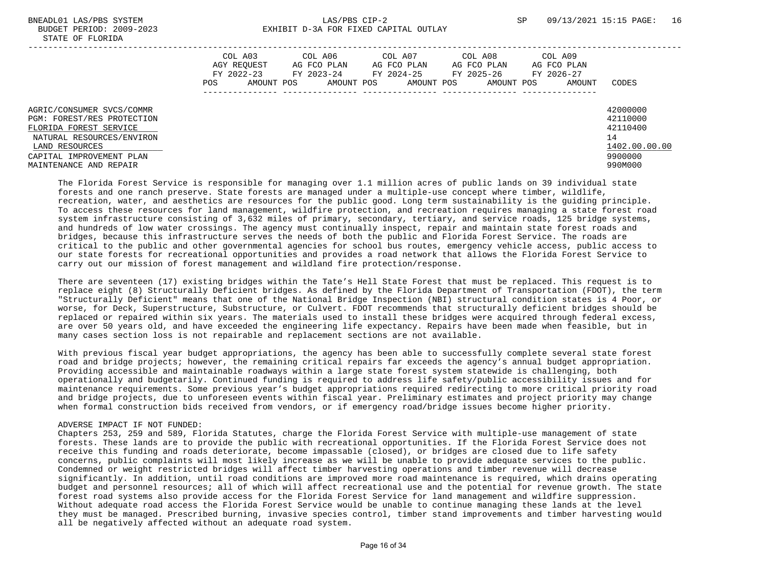| DINIB OI IBORIDII          |         |             |             |  |             |  |             |             |               |
|----------------------------|---------|-------------|-------------|--|-------------|--|-------------|-------------|---------------|
|                            |         |             |             |  |             |  |             |             |               |
|                            | COL A03 |             | COL A06     |  | COL A07     |  | COL A08     | COL A09     |               |
|                            |         | AGY REOUEST | AG FCO PLAN |  | AG FCO PLAN |  | AG FCO PLAN | AG FCO PLAN |               |
|                            |         | FY 2022-23  | FY 2023-24  |  | FY 2024-25  |  | FY 2025-26  | FY 2026-27  |               |
|                            | POS     | AMOUNT POS  | AMOUNT POS  |  | AMOUNT POS  |  | AMOUNT POS  | AMOUNT      | CODES         |
|                            |         |             |             |  |             |  |             |             |               |
| AGRIC/CONSUMER SVCS/COMMR  |         |             |             |  |             |  |             |             | 42000000      |
| PGM: FOREST/RES PROTECTION |         |             |             |  |             |  |             |             | 42110000      |
| FLORIDA FOREST SERVICE     |         |             |             |  |             |  |             |             | 42110400      |
| NATURAL RESOURCES/ENVIRON  |         |             |             |  |             |  |             |             | 14            |
| LAND RESOURCES             |         |             |             |  |             |  |             |             | 1402.00.00.00 |
| CAPITAL IMPROVEMENT PLAN   |         |             |             |  |             |  |             |             | 9900000       |
| MAINTENANCE AND REPAIR     |         |             |             |  |             |  |             |             | 990M000       |

 The Florida Forest Service is responsible for managing over 1.1 million acres of public lands on 39 individual state forests and one ranch preserve. State forests are managed under a multiple-use concept where timber, wildlife, recreation, water, and aesthetics are resources for the public good. Long term sustainability is the guiding principle. To access these resources for land management, wildfire protection, and recreation requires managing a state forest road system infrastructure consisting of 3,632 miles of primary, secondary, tertiary, and service roads, 125 bridge systems, and hundreds of low water crossings. The agency must continually inspect, repair and maintain state forest roads and bridges, because this infrastructure serves the needs of both the public and Florida Forest Service. The roads are critical to the public and other governmental agencies for school bus routes, emergency vehicle access, public access to our state forests for recreational opportunities and provides a road network that allows the Florida Forest Service to carry out our mission of forest management and wildland fire protection/response.

 There are seventeen (17) existing bridges within the Tate's Hell State Forest that must be replaced. This request is to replace eight (8) Structurally Deficient bridges. As defined by the Florida Department of Transportation (FDOT), the term "Structurally Deficient" means that one of the National Bridge Inspection (NBI) structural condition states is 4 Poor, or worse, for Deck, Superstructure, Substructure, or Culvert. FDOT recommends that structurally deficient bridges should be replaced or repaired within six years. The materials used to install these bridges were acquired through federal excess, are over 50 years old, and have exceeded the engineering life expectancy. Repairs have been made when feasible, but in many cases section loss is not repairable and replacement sections are not available.

 With previous fiscal year budget appropriations, the agency has been able to successfully complete several state forest road and bridge projects; however, the remaining critical repairs far exceeds the agency's annual budget appropriation. Providing accessible and maintainable roadways within a large state forest system statewide is challenging, both operationally and budgetarily. Continued funding is required to address life safety/public accessibility issues and for maintenance requirements. Some previous year's budget appropriations required redirecting to more critical priority road and bridge projects, due to unforeseen events within fiscal year. Preliminary estimates and project priority may change when formal construction bids received from vendors, or if emergency road/bridge issues become higher priority.

## ADVERSE IMPACT IF NOT FUNDED:

 Chapters 253, 259 and 589, Florida Statutes, charge the Florida Forest Service with multiple-use management of state forests. These lands are to provide the public with recreational opportunities. If the Florida Forest Service does not receive this funding and roads deteriorate, become impassable (closed), or bridges are closed due to life safety concerns, public complaints will most likely increase as we will be unable to provide adequate services to the public. Condemned or weight restricted bridges will affect timber harvesting operations and timber revenue will decrease significantly. In addition, until road conditions are improved more road maintenance is required, which drains operating budget and personnel resources; all of which will affect recreational use and the potential for revenue growth. The state forest road systems also provide access for the Florida Forest Service for land management and wildfire suppression. Without adequate road access the Florida Forest Service would be unable to continue managing these lands at the level they must be managed. Prescribed burning, invasive species control, timber stand improvements and timber harvesting would all be negatively affected without an adequate road system.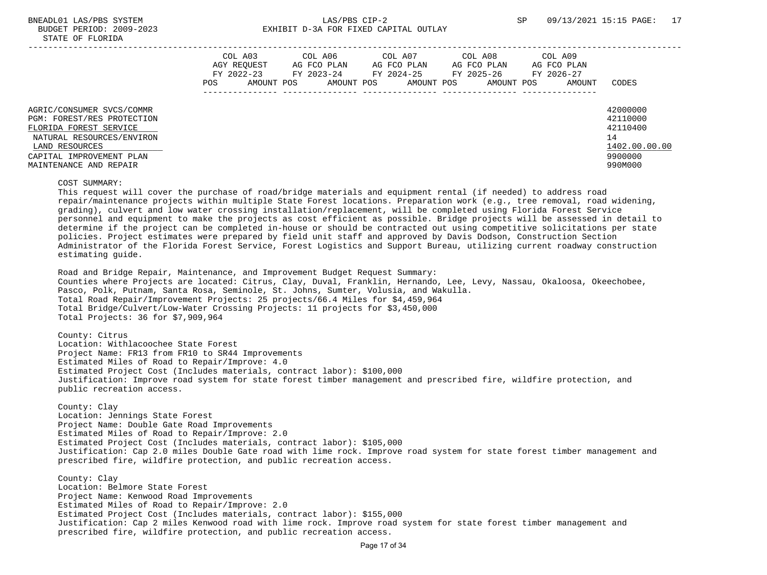|                                                                                                                                                                                        | POS | COL A03<br>AGY REOUEST<br>FY 2022-23<br>AMOUNT POS | COL A06<br>AG FCO PLAN<br>FY 2023-24<br>AMOUNT POS | COL A07<br>AG FCO PLAN<br>FY 2024-25<br>AMOUNT POS | COL A08<br>AG FCO PLAN<br>FY 2025-26<br>AMOUNT POS | COL A09<br>AG FCO PLAN<br>FY 2026-27<br>AMOUNT | CODES                                                                         |
|----------------------------------------------------------------------------------------------------------------------------------------------------------------------------------------|-----|----------------------------------------------------|----------------------------------------------------|----------------------------------------------------|----------------------------------------------------|------------------------------------------------|-------------------------------------------------------------------------------|
| AGRIC/CONSUMER SVCS/COMMR<br>PGM: FOREST/RES PROTECTION<br>FLORIDA FOREST SERVICE<br>NATURAL RESOURCES/ENVIRON<br>LAND RESOURCES<br>CAPITAL IMPROVEMENT PLAN<br>MAINTENANCE AND REPAIR |     |                                                    |                                                    |                                                    |                                                    |                                                | 42000000<br>42110000<br>42110400<br>14<br>1402.00.00.00<br>9900000<br>990M000 |

COST SUMMARY:

 This request will cover the purchase of road/bridge materials and equipment rental (if needed) to address road repair/maintenance projects within multiple State Forest locations. Preparation work (e.g., tree removal, road widening, grading), culvert and low water crossing installation/replacement, will be completed using Florida Forest Service personnel and equipment to make the projects as cost efficient as possible. Bridge projects will be assessed in detail to determine if the project can be completed in-house or should be contracted out using competitive solicitations per state policies. Project estimates were prepared by field unit staff and approved by Davis Dodson, Construction Section Administrator of the Florida Forest Service, Forest Logistics and Support Bureau, utilizing current roadway construction estimating guide.

 Road and Bridge Repair, Maintenance, and Improvement Budget Request Summary: Counties where Projects are located: Citrus, Clay, Duval, Franklin, Hernando, Lee, Levy, Nassau, Okaloosa, Okeechobee, Pasco, Polk, Putnam, Santa Rosa, Seminole, St. Johns, Sumter, Volusia, and Wakulla. Total Road Repair/Improvement Projects: 25 projects/66.4 Miles for \$4,459,964 Total Bridge/Culvert/Low-Water Crossing Projects: 11 projects for \$3,450,000 Total Projects: 36 for \$7,909,964

 County: Citrus Location: Withlacoochee State Forest Project Name: FR13 from FR10 to SR44 Improvements Estimated Miles of Road to Repair/Improve: 4.0 Estimated Project Cost (Includes materials, contract labor): \$100,000 Justification: Improve road system for state forest timber management and prescribed fire, wildfire protection, and public recreation access.

 County: Clay Location: Jennings State Forest Project Name: Double Gate Road Improvements Estimated Miles of Road to Repair/Improve: 2.0 Estimated Project Cost (Includes materials, contract labor): \$105,000 Justification: Cap 2.0 miles Double Gate road with lime rock. Improve road system for state forest timber management and prescribed fire, wildfire protection, and public recreation access.

 County: Clay Location: Belmore State Forest Project Name: Kenwood Road Improvements Estimated Miles of Road to Repair/Improve: 2.0 Estimated Project Cost (Includes materials, contract labor): \$155,000 Justification: Cap 2 miles Kenwood road with lime rock. Improve road system for state forest timber management and prescribed fire, wildfire protection, and public recreation access.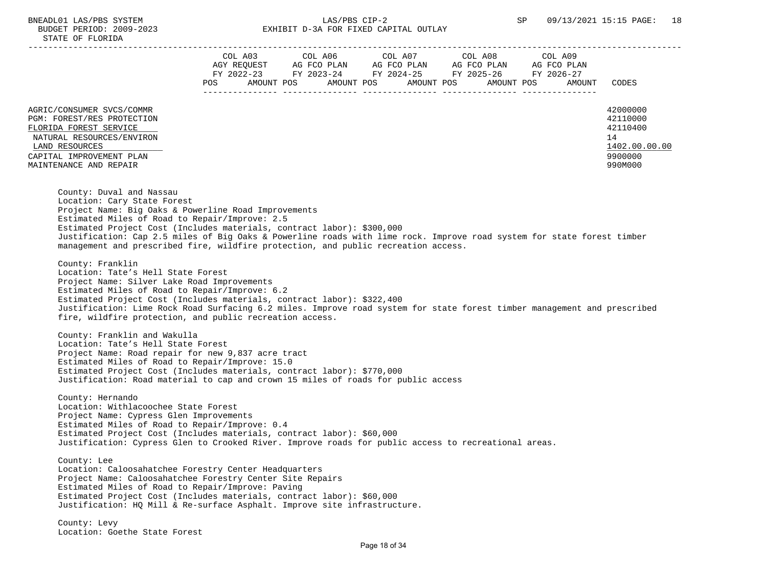|                            | COL A03                   | COL A06                   | COL A07                   | COL A08                   | COL A09                   |               |
|----------------------------|---------------------------|---------------------------|---------------------------|---------------------------|---------------------------|---------------|
|                            | AGY REOUEST<br>FY 2022-23 | AG FCO PLAN<br>FY 2023-24 | AG FCO PLAN<br>FY 2024-25 | AG FCO PLAN<br>FY 2025-26 | AG FCO PLAN<br>FY 2026-27 |               |
|                            | POS                       | AMOUNT POS<br>AMOUNT POS  | AMOUNT POS                | AMOUNT POS                | AMOUNT                    | CODES         |
|                            |                           |                           |                           |                           |                           |               |
| AGRIC/CONSUMER SVCS/COMMR  |                           |                           |                           |                           |                           | 42000000      |
| PGM: FOREST/RES PROTECTION |                           |                           |                           |                           |                           | 42110000      |
| FLORIDA FOREST SERVICE     |                           |                           |                           |                           |                           | 42110400      |
| NATURAL RESOURCES/ENVIRON  |                           |                           |                           |                           |                           | 14            |
| LAND RESOURCES             |                           |                           |                           |                           |                           | 1402.00.00.00 |
| CAPITAL IMPROVEMENT PLAN   |                           |                           |                           |                           |                           | 9900000       |
| MAINTENANCE AND REPAIR     |                           |                           |                           |                           |                           | 990M000       |

 County: Duval and Nassau Location: Cary State Forest Project Name: Big Oaks & Powerline Road Improvements Estimated Miles of Road to Repair/Improve: 2.5 Estimated Project Cost (Includes materials, contract labor): \$300,000 Justification: Cap 2.5 miles of Big Oaks & Powerline roads with lime rock. Improve road system for state forest timber management and prescribed fire, wildfire protection, and public recreation access.

 County: Franklin Location: Tate's Hell State Forest Project Name: Silver Lake Road Improvements Estimated Miles of Road to Repair/Improve: 6.2 Estimated Project Cost (Includes materials, contract labor): \$322,400 Justification: Lime Rock Road Surfacing 6.2 miles. Improve road system for state forest timber management and prescribed fire, wildfire protection, and public recreation access.

 County: Franklin and Wakulla Location: Tate's Hell State Forest Project Name: Road repair for new 9,837 acre tract Estimated Miles of Road to Repair/Improve: 15.0 Estimated Project Cost (Includes materials, contract labor): \$770,000 Justification: Road material to cap and crown 15 miles of roads for public access

 County: Hernando Location: Withlacoochee State Forest Project Name: Cypress Glen Improvements Estimated Miles of Road to Repair/Improve: 0.4 Estimated Project Cost (Includes materials, contract labor): \$60,000 Justification: Cypress Glen to Crooked River. Improve roads for public access to recreational areas.

 County: Lee Location: Caloosahatchee Forestry Center Headquarters Project Name: Caloosahatchee Forestry Center Site Repairs Estimated Miles of Road to Repair/Improve: Paving Estimated Project Cost (Includes materials, contract labor): \$60,000 Justification: HQ Mill & Re-surface Asphalt. Improve site infrastructure.

 County: Levy Location: Goethe State Forest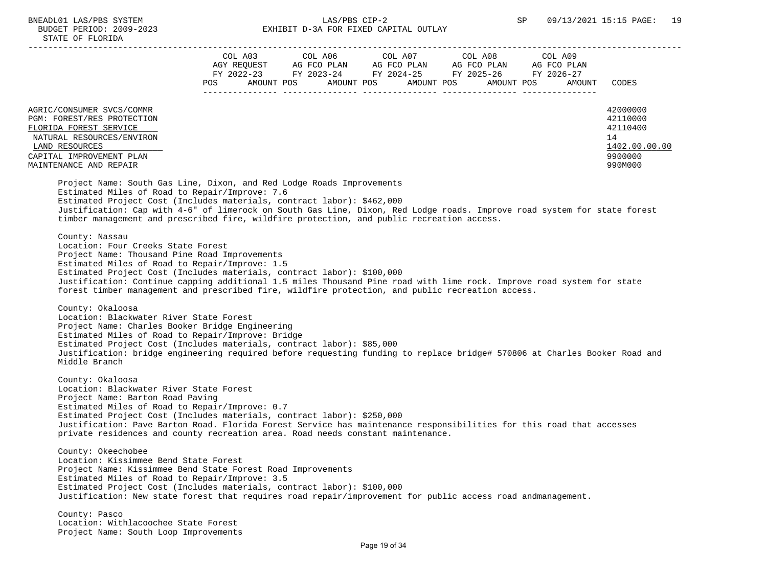|                                                                                                                                                                                        | COL A03<br>AGY REOUEST<br>FY 2022-23<br>POS.<br>AMOUNT POS | COL A06<br>AG FCO PLAN<br>FY 2023-24<br>AMOUNT POS | COL A07<br>AG FCO PLAN<br>FY 2024-25<br>AMOUNT POS | COL A08<br>AG FCO PLAN<br>FY 2025-26<br>AMOUNT POS | COL A09<br>AG FCO PLAN<br>FY 2026-27<br>AMOUNT | CODES                                                                         |
|----------------------------------------------------------------------------------------------------------------------------------------------------------------------------------------|------------------------------------------------------------|----------------------------------------------------|----------------------------------------------------|----------------------------------------------------|------------------------------------------------|-------------------------------------------------------------------------------|
| AGRIC/CONSUMER SVCS/COMMR<br>PGM: FOREST/RES PROTECTION<br>FLORIDA FOREST SERVICE<br>NATURAL RESOURCES/ENVIRON<br>LAND RESOURCES<br>CAPITAL IMPROVEMENT PLAN<br>MAINTENANCE AND REPAIR |                                                            |                                                    |                                                    |                                                    |                                                | 42000000<br>42110000<br>42110400<br>14<br>1402.00.00.00<br>9900000<br>990M000 |

 Project Name: South Gas Line, Dixon, and Red Lodge Roads Improvements Estimated Miles of Road to Repair/Improve: 7.6 Estimated Project Cost (Includes materials, contract labor): \$462,000 Justification: Cap with 4-6" of limerock on South Gas Line, Dixon, Red Lodge roads. Improve road system for state forest timber management and prescribed fire, wildfire protection, and public recreation access.

 County: Nassau Location: Four Creeks State Forest Project Name: Thousand Pine Road Improvements Estimated Miles of Road to Repair/Improve: 1.5 Estimated Project Cost (Includes materials, contract labor): \$100,000 Justification: Continue capping additional 1.5 miles Thousand Pine road with lime rock. Improve road system for state forest timber management and prescribed fire, wildfire protection, and public recreation access.

 County: Okaloosa Location: Blackwater River State Forest Project Name: Charles Booker Bridge Engineering Estimated Miles of Road to Repair/Improve: Bridge Estimated Project Cost (Includes materials, contract labor): \$85,000 Justification: bridge engineering required before requesting funding to replace bridge# 570806 at Charles Booker Road and Middle Branch

 County: Okaloosa Location: Blackwater River State Forest Project Name: Barton Road Paving Estimated Miles of Road to Repair/Improve: 0.7 Estimated Project Cost (Includes materials, contract labor): \$250,000 Justification: Pave Barton Road. Florida Forest Service has maintenance responsibilities for this road that accesses private residences and county recreation area. Road needs constant maintenance.

 County: Okeechobee Location: Kissimmee Bend State Forest Project Name: Kissimmee Bend State Forest Road Improvements Estimated Miles of Road to Repair/Improve: 3.5 Estimated Project Cost (Includes materials, contract labor): \$100,000 Justification: New state forest that requires road repair/improvement for public access road andmanagement.

 County: Pasco Location: Withlacoochee State Forest Project Name: South Loop Improvements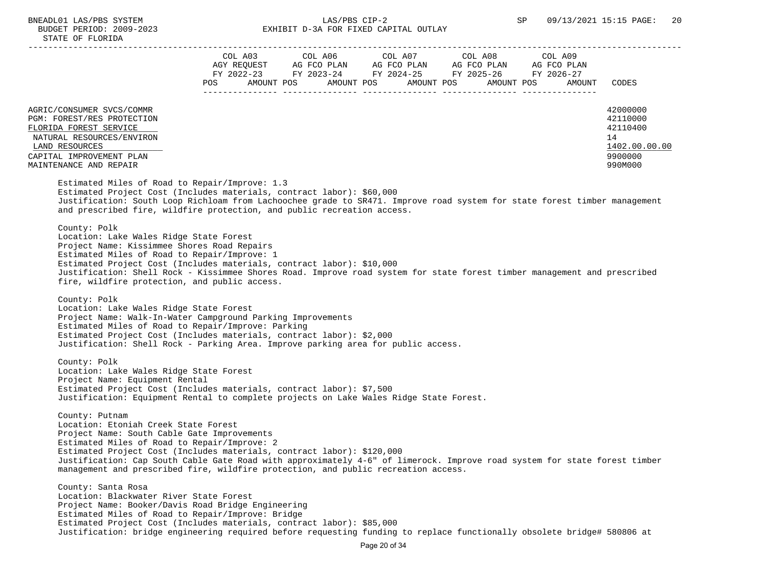| COL A03<br>COL A07<br>COL A09<br>COL A06<br>COL A08<br>AGY REOUEST<br>AG FCO PLAN<br>AG FCO PLAN<br>AG FCO PLAN<br>AG FCO PLAN<br>FY 2022-23<br>FY 2023-24<br>FY 2024-25<br>FY 2025-26<br>FY 2026-27<br>AMOUNT POS<br>AMOUNT POS<br>AMOUNT POS<br>AMOUNT POS<br>CODES<br>POS<br>AMOUNT<br>42000000<br>AGRIC/CONSUMER SVCS/COMMR<br>42110000<br>PGM: FOREST/RES PROTECTION<br>42110400<br>FLORIDA FOREST SERVICE<br>14<br>NATURAL RESOURCES/ENVIRON<br>1402.00.00.00<br>LAND RESOURCES<br>9900000<br>CAPITAL IMPROVEMENT PLAN |                        |  |  |  |  |  |         |
|------------------------------------------------------------------------------------------------------------------------------------------------------------------------------------------------------------------------------------------------------------------------------------------------------------------------------------------------------------------------------------------------------------------------------------------------------------------------------------------------------------------------------|------------------------|--|--|--|--|--|---------|
|                                                                                                                                                                                                                                                                                                                                                                                                                                                                                                                              |                        |  |  |  |  |  |         |
|                                                                                                                                                                                                                                                                                                                                                                                                                                                                                                                              | MAINTENANCE AND REPAIR |  |  |  |  |  | 990M000 |

 Estimated Miles of Road to Repair/Improve: 1.3 Estimated Project Cost (Includes materials, contract labor): \$60,000 Justification: South Loop Richloam from Lachoochee grade to SR471. Improve road system for state forest timber management and prescribed fire, wildfire protection, and public recreation access.

 County: Polk Location: Lake Wales Ridge State Forest Project Name: Kissimmee Shores Road Repairs Estimated Miles of Road to Repair/Improve: 1 Estimated Project Cost (Includes materials, contract labor): \$10,000 Justification: Shell Rock - Kissimmee Shores Road. Improve road system for state forest timber management and prescribed fire, wildfire protection, and public access.

 County: Polk Location: Lake Wales Ridge State Forest Project Name: Walk-In-Water Campground Parking Improvements Estimated Miles of Road to Repair/Improve: Parking Estimated Project Cost (Includes materials, contract labor): \$2,000 Justification: Shell Rock - Parking Area. Improve parking area for public access.

 County: Polk Location: Lake Wales Ridge State Forest Project Name: Equipment Rental Estimated Project Cost (Includes materials, contract labor): \$7,500 Justification: Equipment Rental to complete projects on Lake Wales Ridge State Forest.

 County: Putnam Location: Etoniah Creek State Forest Project Name: South Cable Gate Improvements Estimated Miles of Road to Repair/Improve: 2 Estimated Project Cost (Includes materials, contract labor): \$120,000 Justification: Cap South Cable Gate Road with approximately 4-6" of limerock. Improve road system for state forest timber management and prescribed fire, wildfire protection, and public recreation access.

 County: Santa Rosa Location: Blackwater River State Forest Project Name: Booker/Davis Road Bridge Engineering Estimated Miles of Road to Repair/Improve: Bridge Estimated Project Cost (Includes materials, contract labor): \$85,000 Justification: bridge engineering required before requesting funding to replace functionally obsolete bridge# 580806 at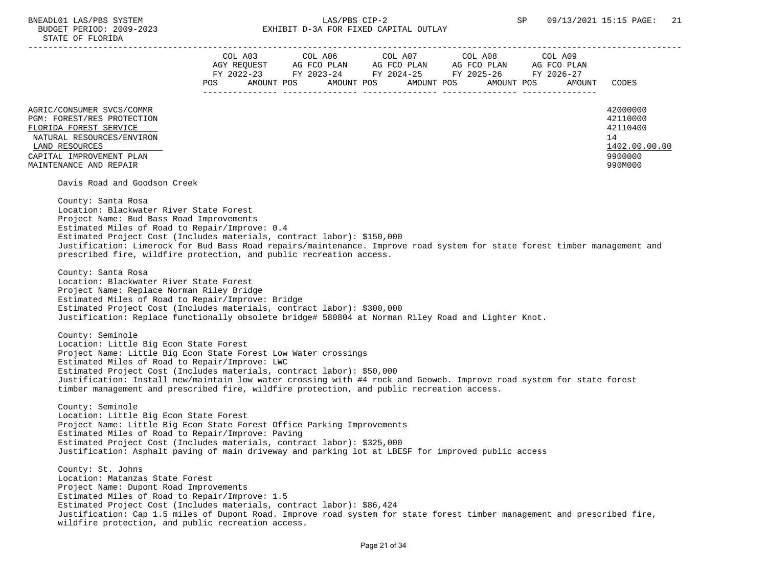|                            |      | COL A03     |  | COL A06     |  | COL A07     |  | COL A08     |  | COL A09     |               |
|----------------------------|------|-------------|--|-------------|--|-------------|--|-------------|--|-------------|---------------|
|                            |      | AGY REOUEST |  | AG FCO PLAN |  | AG FCO PLAN |  | AG FCO PLAN |  | AG FCO PLAN |               |
|                            |      | FY 2022-23  |  | FY 2023-24  |  | FY 2024-25  |  | FY 2025-26  |  | FY 2026-27  |               |
|                            | POS. | AMOUNT POS  |  | AMOUNT POS  |  | AMOUNT POS  |  | AMOUNT POS  |  | AMOUNT      | CODES         |
|                            |      |             |  |             |  |             |  |             |  |             |               |
| AGRIC/CONSUMER SVCS/COMMR  |      |             |  |             |  |             |  |             |  |             | 42000000      |
| PGM: FOREST/RES PROTECTION |      |             |  |             |  |             |  |             |  |             | 42110000      |
| FLORIDA FOREST SERVICE     |      |             |  |             |  |             |  |             |  |             | 42110400      |
| NATURAL RESOURCES/ENVIRON  |      |             |  |             |  |             |  |             |  |             | 14            |
| LAND RESOURCES             |      |             |  |             |  |             |  |             |  |             | 1402.00.00.00 |
| CAPITAL IMPROVEMENT PLAN   |      |             |  |             |  |             |  |             |  |             | 9900000       |
| MAINTENANCE AND REPAIR     |      |             |  |             |  |             |  |             |  |             | 990M000       |

Davis Road and Goodson Creek

 County: Santa Rosa Location: Blackwater River State Forest Project Name: Bud Bass Road Improvements Estimated Miles of Road to Repair/Improve: 0.4 Estimated Project Cost (Includes materials, contract labor): \$150,000 Justification: Limerock for Bud Bass Road repairs/maintenance. Improve road system for state forest timber management and prescribed fire, wildfire protection, and public recreation access.

 County: Santa Rosa Location: Blackwater River State Forest Project Name: Replace Norman Riley Bridge Estimated Miles of Road to Repair/Improve: Bridge Estimated Project Cost (Includes materials, contract labor): \$300,000 Justification: Replace functionally obsolete bridge# 580804 at Norman Riley Road and Lighter Knot.

 County: Seminole Location: Little Big Econ State Forest Project Name: Little Big Econ State Forest Low Water crossings Estimated Miles of Road to Repair/Improve: LWC Estimated Project Cost (Includes materials, contract labor): \$50,000 Justification: Install new/maintain low water crossing with #4 rock and Geoweb. Improve road system for state forest timber management and prescribed fire, wildfire protection, and public recreation access.

 County: Seminole Location: Little Big Econ State Forest Project Name: Little Big Econ State Forest Office Parking Improvements Estimated Miles of Road to Repair/Improve: Paving Estimated Project Cost (Includes materials, contract labor): \$325,000 Justification: Asphalt paving of main driveway and parking lot at LBESF for improved public access

 County: St. Johns Location: Matanzas State Forest Project Name: Dupont Road Improvements Estimated Miles of Road to Repair/Improve: 1.5 Estimated Project Cost (Includes materials, contract labor): \$86,424 Justification: Cap 1.5 miles of Dupont Road. Improve road system for state forest timber management and prescribed fire, wildfire protection, and public recreation access.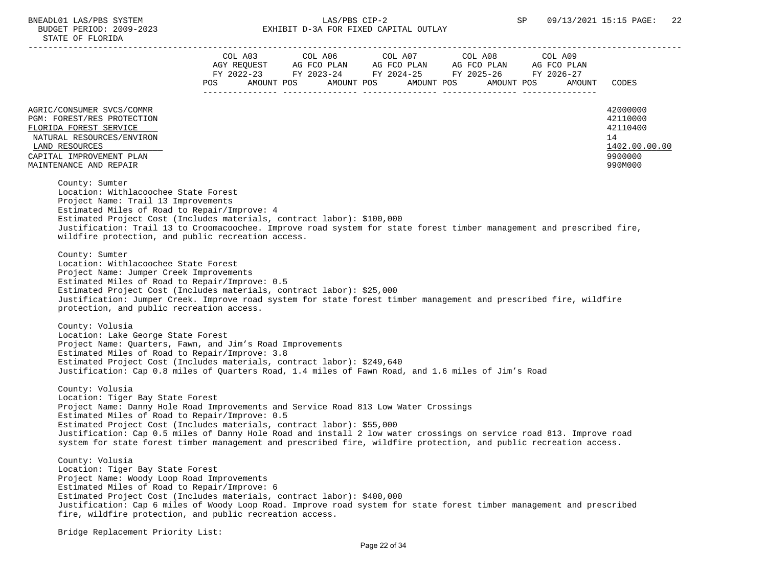| STATE OF FLORIDA                                                                                                                                                                                                                                                                                                                                           |                                                                                                                                                                                                                                                                                                                                                                                                                                                                                                                |                                                                                                                 |                                                                               |
|------------------------------------------------------------------------------------------------------------------------------------------------------------------------------------------------------------------------------------------------------------------------------------------------------------------------------------------------------------|----------------------------------------------------------------------------------------------------------------------------------------------------------------------------------------------------------------------------------------------------------------------------------------------------------------------------------------------------------------------------------------------------------------------------------------------------------------------------------------------------------------|-----------------------------------------------------------------------------------------------------------------|-------------------------------------------------------------------------------|
|                                                                                                                                                                                                                                                                                                                                                            | FY 2022-23 FY 2023-24 FY 2024-25 FY 2025-26 FY 2026-27<br>POS AMOUNT POS AMOUNT POS AMOUNT POS AMOUNT POS                                                                                                                                                                                                                                                                                                                                                                                                      |                                                                                                                 | AMOUNT CODES                                                                  |
| AGRIC/CONSUMER SVCS/COMMR<br>PGM: FOREST/RES PROTECTION<br>FLORIDA FOREST SERVICE<br>NATURAL RESOURCES/ENVIRON<br>LAND RESOURCES<br>CAPITAL IMPROVEMENT PLAN<br>MAINTENANCE AND REPAIR                                                                                                                                                                     |                                                                                                                                                                                                                                                                                                                                                                                                                                                                                                                |                                                                                                                 | 42000000<br>42110000<br>42110400<br>14<br>1402.00.00.00<br>9900000<br>990M000 |
| County: Sumter<br>Location: Withlacoochee State Forest<br>Project Name: Trail 13 Improvements<br>Estimated Miles of Road to Repair/Improve: 4<br>wildfire protection, and public recreation access.<br>County: Sumter<br>Location: Withlacoochee State Forest<br>Project Name: Jumper Creek Improvements<br>Estimated Miles of Road to Repair/Improve: 0.5 | Estimated Project Cost (Includes materials, contract labor): \$100,000<br>Justification: Trail 13 to Croomacoochee. Improve road system for state forest timber management and prescribed fire,<br>Estimated Project Cost (Includes materials, contract labor): \$25,000<br>Justification: Jumper Creek. Improve road system for state forest timber management and prescribed fire, wildfire                                                                                                                  |                                                                                                                 |                                                                               |
| protection, and public recreation access.<br>County: Volusia<br>Location: Lake George State Forest<br>Estimated Miles of Road to Repair/Improve: 3.8                                                                                                                                                                                                       | Project Name: Quarters, Fawn, and Jim's Road Improvements<br>Estimated Project Cost (Includes materials, contract labor): \$249,640                                                                                                                                                                                                                                                                                                                                                                            |                                                                                                                 |                                                                               |
| County: Volusia<br>Location: Tiger Bay State Forest<br>Estimated Miles of Road to Repair/Improve: 0.5                                                                                                                                                                                                                                                      | Justification: Cap 0.8 miles of Quarters Road, 1.4 miles of Fawn Road, and 1.6 miles of Jim's Road<br>Project Name: Danny Hole Road Improvements and Service Road 813 Low Water Crossings<br>Estimated Project Cost (Includes materials, contract labor): \$55,000<br>Justification: Cap 0.5 miles of Danny Hole Road and install 2 low water crossings on service road 813. Improve road<br>system for state forest timber management and prescribed fire, wildfire protection, and public recreation access. |                                                                                                                 |                                                                               |
| County: Volusia<br>Location: Tiger Bay State Forest<br>Project Name: Woody Loop Road Improvements<br>Estimated Miles of Road to Repair/Improve: 6                                                                                                                                                                                                          | Estimated Project Cost (Includes materials, contract labor): \$400,000                                                                                                                                                                                                                                                                                                                                                                                                                                         | the contract of the contract of the contract of the contract of the contract of the contract of the contract of |                                                                               |

 Justification: Cap 6 miles of Woody Loop Road. Improve road system for state forest timber management and prescribed fire, wildfire protection, and public recreation access.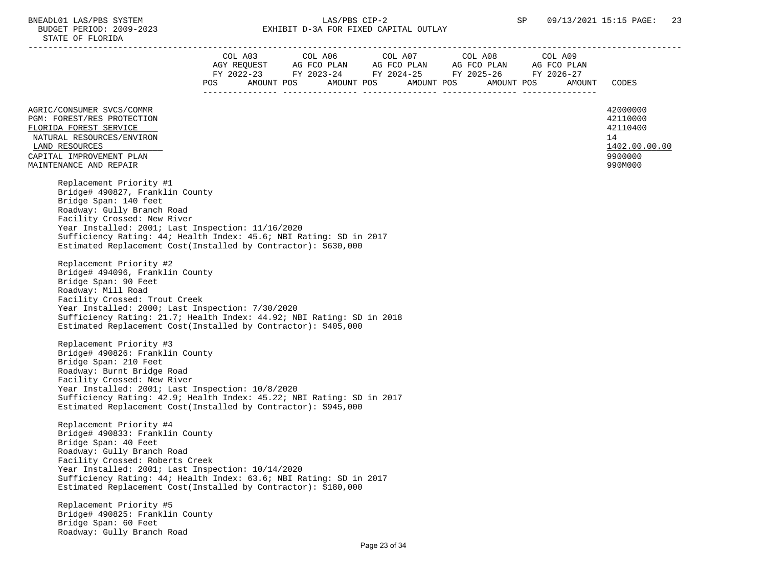# BNEADL01 LAS/PBS SYSTEM 1.83/PBS SYSTEM 1.23<br>BUDGET PERIOD: 2009-2023 EXHIBIT D-3A FOR FIXED CAPITAL OUTLAY EXHIBIT D-3A FOR FIXED CAPITAL OUTLAY

|                                                                                                                                                                                                                                                                                                                                                                          | POS AMOUNT POS AMOUNT POS AMOUNT POS AMOUNT POS |  | $\begin{tabular}{lcccccc} COL A03 & COL A06 & COL A07 & COL A08 & COL A09 \\ AGY REQUEST & AG FCO PLAN & AG FCO PLAN & AG FCO PLAN & AG FCO PLAN \\ \end{tabular}$<br>FY 2022-23 FY 2023-24 FY 2024-25 FY 2025-26 FY 2026-27 | AMOUNT CODES |                                                                               |
|--------------------------------------------------------------------------------------------------------------------------------------------------------------------------------------------------------------------------------------------------------------------------------------------------------------------------------------------------------------------------|-------------------------------------------------|--|------------------------------------------------------------------------------------------------------------------------------------------------------------------------------------------------------------------------------|--------------|-------------------------------------------------------------------------------|
|                                                                                                                                                                                                                                                                                                                                                                          |                                                 |  |                                                                                                                                                                                                                              |              |                                                                               |
| AGRIC/CONSUMER SVCS/COMMR<br>PGM: FOREST/RES PROTECTION<br>FLORIDA FOREST SERVICE<br>NATURAL RESOURCES/ENVIRON<br>LAND RESOURCES<br>CAPITAL IMPROVEMENT PLAN<br>MAINTENANCE AND REPAIR                                                                                                                                                                                   |                                                 |  |                                                                                                                                                                                                                              |              | 42000000<br>42110000<br>42110400<br>14<br>1402.00.00.00<br>9900000<br>990M000 |
| Replacement Priority #1<br>Bridge# 490827, Franklin County<br>Bridge Span: 140 feet<br>Roadway: Gully Branch Road<br>Facility Crossed: New River<br>Year Installed: 2001; Last Inspection: 11/16/2020<br>Sufficiency Rating: 44; Health Index: 45.6; NBI Rating: SD in 2017<br>Estimated Replacement Cost(Installed by Contractor): \$630,000<br>Replacement Priority #2 |                                                 |  |                                                                                                                                                                                                                              |              |                                                                               |
| Bridge# 494096, Franklin County<br>Bridge Span: 90 Feet<br>Roadway: Mill Road<br>Facility Crossed: Trout Creek<br>Year Installed: 2000; Last Inspection: 7/30/2020<br>Sufficiency Rating: 21.7; Health Index: 44.92; NBI Rating: SD in 2018<br>Estimated Replacement Cost(Installed by Contractor): \$405,000                                                            |                                                 |  |                                                                                                                                                                                                                              |              |                                                                               |
| Replacement Priority #3<br>Bridge# 490826: Franklin County<br>Bridge Span: 210 Feet<br>Roadway: Burnt Bridge Road<br>Facility Crossed: New River<br>Year Installed: 2001; Last Inspection: 10/8/2020<br>Sufficiency Rating: 42.9; Health Index: 45.22; NBI Rating: SD in 2017<br>Estimated Replacement Cost(Installed by Contractor): \$945,000                          |                                                 |  |                                                                                                                                                                                                                              |              |                                                                               |
| Replacement Priority #4<br>Bridge# 490833: Franklin County<br>Bridge Span: 40 Feet<br>Roadway: Gully Branch Road<br>Facility Crossed: Roberts Creek<br>Year Installed: 2001; Last Inspection: 10/14/2020<br>Sufficiency Rating: 44; Health Index: 63.6; NBI Rating: SD in 2017<br>Estimated Replacement Cost(Installed by Contractor): \$180,000                         |                                                 |  |                                                                                                                                                                                                                              |              |                                                                               |
| Replacement Priority #5<br>Bridge# 490825: Franklin County<br>Bridge Span: 60 Feet<br>Roadway: Gully Branch Road                                                                                                                                                                                                                                                         |                                                 |  |                                                                                                                                                                                                                              |              |                                                                               |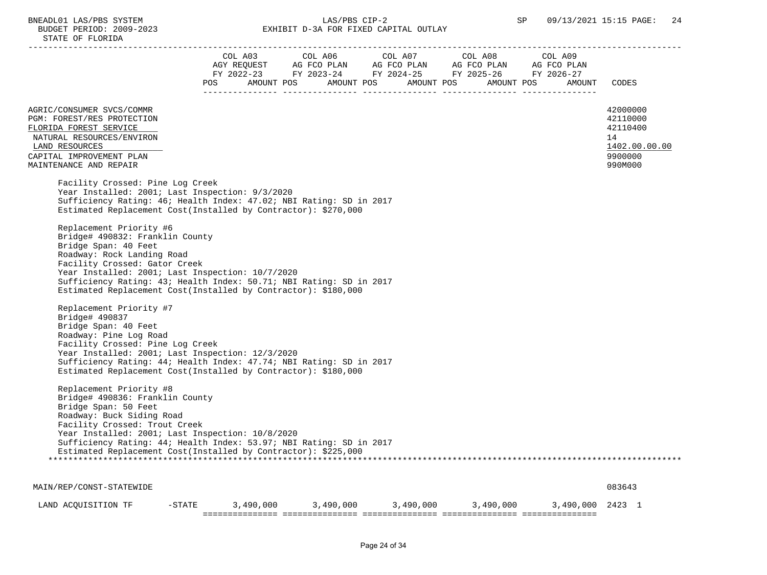|                                                                                                                                                                                                                                                                                                                                                | COL A03 | COL A06<br>AGY REQUEST AG FCO PLAN AG FCO PLAN AG FCO PLAN AG FCO PLAN AG FCO PLAN AG FCO PLAN AG FCO PLAN<br>POS AMOUNT POS AMOUNT POS AMOUNT POS AMOUNT POS AMOUNT | COL A07 COL A08 | COL A09 | CODES                                                                         |
|------------------------------------------------------------------------------------------------------------------------------------------------------------------------------------------------------------------------------------------------------------------------------------------------------------------------------------------------|---------|----------------------------------------------------------------------------------------------------------------------------------------------------------------------|-----------------|---------|-------------------------------------------------------------------------------|
| AGRIC/CONSUMER SVCS/COMMR<br>PGM: FOREST/RES PROTECTION<br>FLORIDA FOREST SERVICE<br>NATURAL RESOURCES/ENVIRON<br>LAND RESOURCES<br>CAPITAL IMPROVEMENT PLAN<br>MAINTENANCE AND REPAIR                                                                                                                                                         |         |                                                                                                                                                                      |                 |         | 42000000<br>42110000<br>42110400<br>14<br>1402.00.00.00<br>9900000<br>990M000 |
| Facility Crossed: Pine Log Creek<br>Year Installed: 2001; Last Inspection: 9/3/2020<br>Sufficiency Rating: 46; Health Index: 47.02; NBI Rating: SD in 2017<br>Estimated Replacement Cost(Installed by Contractor): \$270,000                                                                                                                   |         |                                                                                                                                                                      |                 |         |                                                                               |
| Replacement Priority #6<br>Bridge# 490832: Franklin County<br>Bridge Span: 40 Feet<br>Roadway: Rock Landing Road<br>Facility Crossed: Gator Creek<br>Year Installed: 2001; Last Inspection: 10/7/2020<br>Sufficiency Rating: 43; Health Index: 50.71; NBI Rating: SD in 2017<br>Estimated Replacement Cost(Installed by Contractor): \$180,000 |         |                                                                                                                                                                      |                 |         |                                                                               |
| Replacement Priority #7<br>Bridge# 490837<br>Bridge Span: 40 Feet<br>Roadway: Pine Log Road<br>Facility Crossed: Pine Log Creek<br>Year Installed: 2001; Last Inspection: 12/3/2020<br>Sufficiency Rating: 44; Health Index: 47.74; NBI Rating: SD in 2017<br>Estimated Replacement Cost(Installed by Contractor): \$180,000                   |         |                                                                                                                                                                      |                 |         |                                                                               |
| Replacement Priority #8<br>Bridge# 490836: Franklin County<br>Bridge Span: 50 Feet<br>Roadway: Buck Siding Road<br>Facility Crossed: Trout Creek<br>Year Installed: 2001; Last Inspection: 10/8/2020<br>Sufficiency Rating: 44; Health Index: 53.97; NBI Rating: SD in 2017<br>Estimated Replacement Cost(Installed by Contractor): \$225,000  |         |                                                                                                                                                                      |                 |         |                                                                               |
| MAIN/REP/CONST-STATEWIDE                                                                                                                                                                                                                                                                                                                       |         |                                                                                                                                                                      |                 |         | 083643                                                                        |

 LAND ACQUISITION TF -STATE 3,490,000 3,490,000 3,490,000 3,490,000 3,490,000 2423 1 =============== =============== =============== =============== ===============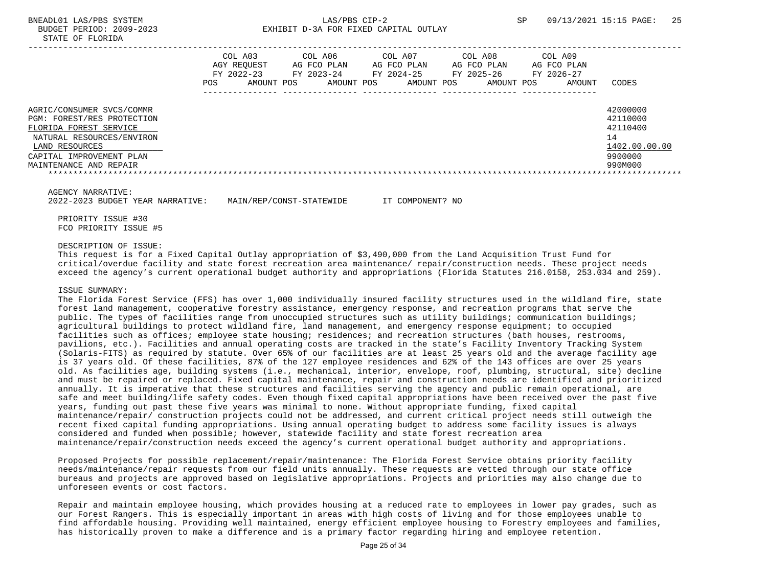|                                                                                                                                                                                        | COL A03<br>AGY REOUEST<br>FY 2022-23<br>POS.<br>AMOUNT POS | COL A06<br>AG FCO PLAN<br>FY 2023-24<br>AMOUNT POS | COL A07<br>AG FCO PLAN<br>FY 2024-25<br>AMOUNT POS | COL A08<br>AG FCO PLAN<br>FY 2025-26<br>AMOUNT POS | COL A09<br>AG FCO PLAN<br>FY 2026-27<br>AMOUNT | CODES                                                                         |
|----------------------------------------------------------------------------------------------------------------------------------------------------------------------------------------|------------------------------------------------------------|----------------------------------------------------|----------------------------------------------------|----------------------------------------------------|------------------------------------------------|-------------------------------------------------------------------------------|
| AGRIC/CONSUMER SVCS/COMMR<br>PGM: FOREST/RES PROTECTION<br>FLORIDA FOREST SERVICE<br>NATURAL RESOURCES/ENVIRON<br>LAND RESOURCES<br>CAPITAL IMPROVEMENT PLAN<br>MAINTENANCE AND REPAIR |                                                            |                                                    |                                                    |                                                    |                                                | 42000000<br>42110000<br>42110400<br>14<br>1402.00.00.00<br>9900000<br>990M000 |

AGENCY NARRATIVE:

2022-2023 BUDGET YEAR NARRATIVE: MAIN/REP/CONST-STATEWIDE IT COMPONENT? NO

 PRIORITY ISSUE #30 FCO PRIORITY ISSUE #5

DESCRIPTION OF ISSUE:

 This request is for a Fixed Capital Outlay appropriation of \$3,490,000 from the Land Acquisition Trust Fund for critical/overdue facility and state forest recreation area maintenance/ repair/construction needs. These project needs exceed the agency's current operational budget authority and appropriations (Florida Statutes 216.0158, 253.034 and 259).

#### ISSUE SUMMARY:

 The Florida Forest Service (FFS) has over 1,000 individually insured facility structures used in the wildland fire, state forest land management, cooperative forestry assistance, emergency response, and recreation programs that serve the public. The types of facilities range from unoccupied structures such as utility buildings; communication buildings; agricultural buildings to protect wildland fire, land management, and emergency response equipment; to occupied facilities such as offices; employee state housing; residences; and recreation structures (bath houses, restrooms, pavilions, etc.). Facilities and annual operating costs are tracked in the state's Facility Inventory Tracking System (Solaris-FITS) as required by statute. Over 65% of our facilities are at least 25 years old and the average facility age is 37 years old. Of these facilities, 87% of the 127 employee residences and 62% of the 143 offices are over 25 years old. As facilities age, building systems (i.e., mechanical, interior, envelope, roof, plumbing, structural, site) decline and must be repaired or replaced. Fixed capital maintenance, repair and construction needs are identified and prioritized annually. It is imperative that these structures and facilities serving the agency and public remain operational, are safe and meet building/life safety codes. Even though fixed capital appropriations have been received over the past five years, funding out past these five years was minimal to none. Without appropriate funding, fixed capital maintenance/repair/ construction projects could not be addressed, and current critical project needs still outweigh the recent fixed capital funding appropriations. Using annual operating budget to address some facility issues is always considered and funded when possible; however, statewide facility and state forest recreation area maintenance/repair/construction needs exceed the agency's current operational budget authority and appropriations.

 Proposed Projects for possible replacement/repair/maintenance: The Florida Forest Service obtains priority facility needs/maintenance/repair requests from our field units annually. These requests are vetted through our state office bureaus and projects are approved based on legislative appropriations. Projects and priorities may also change due to unforeseen events or cost factors.

 Repair and maintain employee housing, which provides housing at a reduced rate to employees in lower pay grades, such as our Forest Rangers. This is especially important in areas with high costs of living and for those employees unable to find affordable housing. Providing well maintained, energy efficient employee housing to Forestry employees and families, has historically proven to make a difference and is a primary factor regarding hiring and employee retention.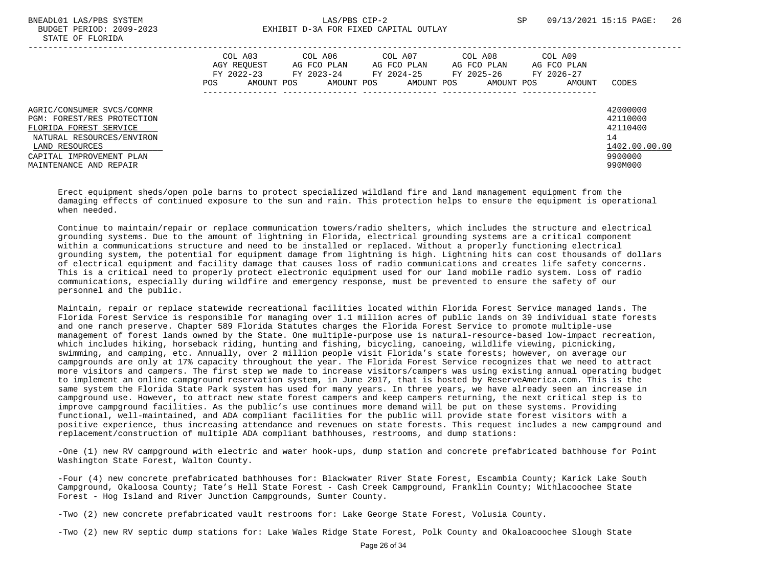|                                                                                                                                                                                        | COL A03<br>AGY REOUEST<br>FY 2022-23<br>AMOUNT POS<br>POS | COL A06<br>AG FCO PLAN<br>FY 2023-24<br>AMOUNT POS | COL A07<br>AG FCO PLAN<br>FY 2024-25<br>AMOUNT POS | COL A08<br>AG FCO PLAN<br>FY 2025-26<br>AMOUNT POS | COL A09<br>AG FCO PLAN<br>FY 2026-27<br>AMOUNT | CODES                                                                         |
|----------------------------------------------------------------------------------------------------------------------------------------------------------------------------------------|-----------------------------------------------------------|----------------------------------------------------|----------------------------------------------------|----------------------------------------------------|------------------------------------------------|-------------------------------------------------------------------------------|
| AGRIC/CONSUMER SVCS/COMMR<br>PGM: FOREST/RES PROTECTION<br>FLORIDA FOREST SERVICE<br>NATURAL RESOURCES/ENVIRON<br>LAND RESOURCES<br>CAPITAL IMPROVEMENT PLAN<br>MAINTENANCE AND REPAIR |                                                           |                                                    |                                                    |                                                    |                                                | 42000000<br>42110000<br>42110400<br>14<br>1402.00.00.00<br>9900000<br>990M000 |

 Erect equipment sheds/open pole barns to protect specialized wildland fire and land management equipment from the damaging effects of continued exposure to the sun and rain. This protection helps to ensure the equipment is operational when needed.

 Continue to maintain/repair or replace communication towers/radio shelters, which includes the structure and electrical grounding systems. Due to the amount of lightning in Florida, electrical grounding systems are a critical component within a communications structure and need to be installed or replaced. Without a properly functioning electrical grounding system, the potential for equipment damage from lightning is high. Lightning hits can cost thousands of dollars of electrical equipment and facility damage that causes loss of radio communications and creates life safety concerns. This is a critical need to properly protect electronic equipment used for our land mobile radio system. Loss of radio communications, especially during wildfire and emergency response, must be prevented to ensure the safety of our personnel and the public.

 Maintain, repair or replace statewide recreational facilities located within Florida Forest Service managed lands. The Florida Forest Service is responsible for managing over 1.1 million acres of public lands on 39 individual state forests and one ranch preserve. Chapter 589 Florida Statutes charges the Florida Forest Service to promote multiple-use management of forest lands owned by the State. One multiple-purpose use is natural-resource-based low-impact recreation, which includes hiking, horseback riding, hunting and fishing, bicycling, canoeing, wildlife viewing, picnicking, swimming, and camping, etc. Annually, over 2 million people visit Florida's state forests; however, on average our campgrounds are only at 17% capacity throughout the year. The Florida Forest Service recognizes that we need to attract more visitors and campers. The first step we made to increase visitors/campers was using existing annual operating budget to implement an online campground reservation system, in June 2017, that is hosted by ReserveAmerica.com. This is the same system the Florida State Park system has used for many years. In three years, we have already seen an increase in campground use. However, to attract new state forest campers and keep campers returning, the next critical step is to improve campground facilities. As the public's use continues more demand will be put on these systems. Providing functional, well-maintained, and ADA compliant facilities for the public will provide state forest visitors with a positive experience, thus increasing attendance and revenues on state forests. This request includes a new campground and replacement/construction of multiple ADA compliant bathhouses, restrooms, and dump stations:

 -One (1) new RV campground with electric and water hook-ups, dump station and concrete prefabricated bathhouse for Point Washington State Forest, Walton County.

 -Four (4) new concrete prefabricated bathhouses for: Blackwater River State Forest, Escambia County; Karick Lake South Campground, Okaloosa County; Tate's Hell State Forest - Cash Creek Campground, Franklin County; Withlacoochee State Forest - Hog Island and River Junction Campgrounds, Sumter County.

-Two (2) new concrete prefabricated vault restrooms for: Lake George State Forest, Volusia County.

-Two (2) new RV septic dump stations for: Lake Wales Ridge State Forest, Polk County and Okaloacoochee Slough State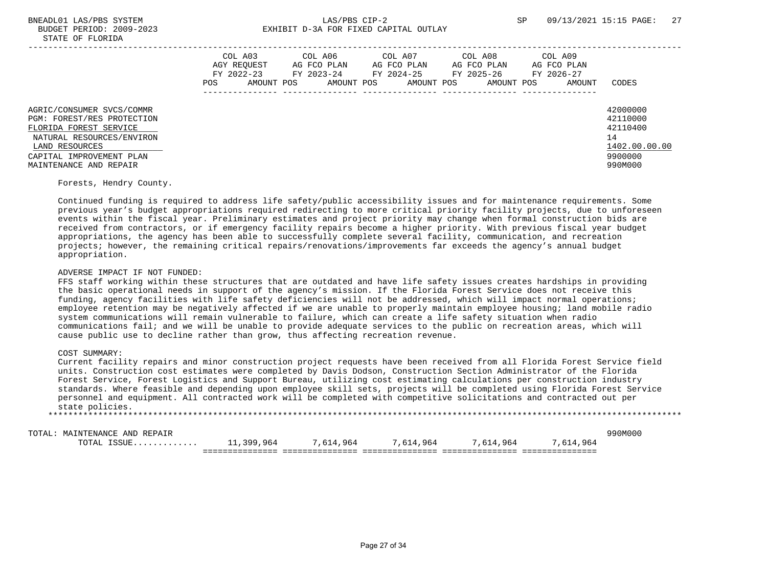|                                                                                                                                                                                        | COL A03<br>AGY REOUEST<br>FY 2022-23<br>POS | AMOUNT POS | COL A06<br>AG FCO PLAN<br>FY 2023-24<br>AMOUNT POS | COL A07<br>AG FCO PLAN<br>FY 2024-25<br>AMOUNT POS | COL A08<br>AG FCO PLAN<br>FY 2025-26<br>AMOUNT POS | COL A09<br>AG FCO PLAN<br>FY 2026-27<br>AMOUNT | CODES                                                                         |
|----------------------------------------------------------------------------------------------------------------------------------------------------------------------------------------|---------------------------------------------|------------|----------------------------------------------------|----------------------------------------------------|----------------------------------------------------|------------------------------------------------|-------------------------------------------------------------------------------|
| AGRIC/CONSUMER SVCS/COMMR<br>PGM: FOREST/RES PROTECTION<br>FLORIDA FOREST SERVICE<br>NATURAL RESOURCES/ENVIRON<br>LAND RESOURCES<br>CAPITAL IMPROVEMENT PLAN<br>MAINTENANCE AND REPAIR |                                             |            |                                                    |                                                    |                                                    |                                                | 42000000<br>42110000<br>42110400<br>14<br>1402.00.00.00<br>9900000<br>990M000 |

Forests, Hendry County.

 Continued funding is required to address life safety/public accessibility issues and for maintenance requirements. Some previous year's budget appropriations required redirecting to more critical priority facility projects, due to unforeseen events within the fiscal year. Preliminary estimates and project priority may change when formal construction bids are received from contractors, or if emergency facility repairs become a higher priority. With previous fiscal year budget appropriations, the agency has been able to successfully complete several facility, communication, and recreation projects; however, the remaining critical repairs/renovations/improvements far exceeds the agency's annual budget appropriation.

#### ADVERSE IMPACT IF NOT FUNDED:

 FFS staff working within these structures that are outdated and have life safety issues creates hardships in providing the basic operational needs in support of the agency's mission. If the Florida Forest Service does not receive this funding, agency facilities with life safety deficiencies will not be addressed, which will impact normal operations; employee retention may be negatively affected if we are unable to properly maintain employee housing; land mobile radio system communications will remain vulnerable to failure, which can create a life safety situation when radio communications fail; and we will be unable to provide adequate services to the public on recreation areas, which will cause public use to decline rather than grow, thus affecting recreation revenue.

## COST SUMMARY:

 Current facility repairs and minor construction project requests have been received from all Florida Forest Service field units. Construction cost estimates were completed by Davis Dodson, Construction Section Administrator of the Florida Forest Service, Forest Logistics and Support Bureau, utilizing cost estimating calculations per construction industry standards. Where feasible and depending upon employee skill sets, projects will be completed using Florida Forest Service personnel and equipment. All contracted work will be completed with competitive solicitations and contracted out per state policies.

\*\*\*\*\*\*\*\*\*\*\*\*\*\*\*\*\*\*\*\*\*\*\*\*\*\*\*\*\*\*\*\*\*\*\*\*\*\*\*\*\*\*\*\*\*\*\*\*\*\*\*\*\*\*\*\*\*\*\*\*\*\*\*\*\*\*\*\*\*\*\*\*\*\*\*\*\*\*\*\*\*\*\*\*\*\*\*\*\*\*\*\*\*\*\*\*\*\*\*\*\*\*\*\*\*\*\*\*\*\*\*\*\*\*\*\*\*\*\*\*\*\*\*\*\*\*\*

TOTAL: MAINTENANCE AND REPAIR 990M000

| ------ | --------<br>-------------- |                                                                |                                      |                                                       |               |                                        |  |
|--------|----------------------------|----------------------------------------------------------------|--------------------------------------|-------------------------------------------------------|---------------|----------------------------------------|--|
|        | $\Delta$                   | ، הי<br>965<br>the contract of the contract of the contract of | <b>Uh</b>                            | 404                                                   | 4h4           |                                        |  |
|        |                            | ---------------<br>------------<br>$- - -$                     | ________________<br>---------------- | ---------------- ----------------<br>________________ | _____________ | ________________<br>-------<br>------- |  |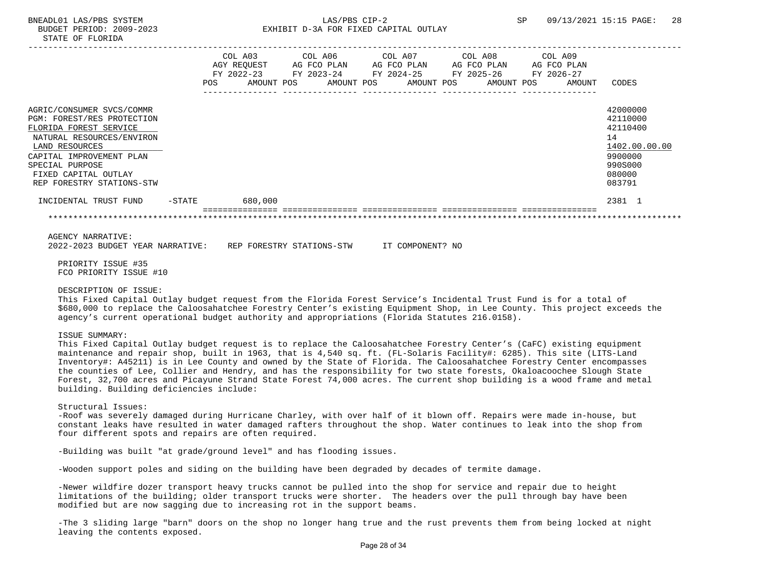## BNEADL01 LAS/PBS SYSTEM SALL RESOURCE THE SALL RESOURCE THE SP 09/13/2021 15:15 PAGE: 28 BUDGET PERIOD: 2009-2023 EXHIBIT D-3A FOR FIXED CAPITAL OUTLAY

|                                                                                                                                                                                                                                      |                   | POS | COL A03<br>AGY REOUEST AG FCO PLAN<br>FY 2022-23<br>AMOUNT POS | COL A06<br>FY 2023-24 FY 2024-25 FY 2025-26<br>AMOUNT POS |  | COL A07<br>AG FCO PLAN<br>AMOUNT POS | COL A08<br>AG FCO PLAN<br>AMOUNT POS | COL A09 | AG FCO PLAN<br>FY 2026-27<br>AMOUNT | CODES                                                                                             |
|--------------------------------------------------------------------------------------------------------------------------------------------------------------------------------------------------------------------------------------|-------------------|-----|----------------------------------------------------------------|-----------------------------------------------------------|--|--------------------------------------|--------------------------------------|---------|-------------------------------------|---------------------------------------------------------------------------------------------------|
| AGRIC/CONSUMER SVCS/COMMR<br>PGM: FOREST/RES PROTECTION<br>FLORIDA FOREST SERVICE<br>NATURAL RESOURCES/ENVIRON<br>LAND RESOURCES<br>CAPITAL IMPROVEMENT PLAN<br>SPECIAL PURPOSE<br>FIXED CAPITAL OUTLAY<br>REP FORESTRY STATIONS-STW |                   |     |                                                                |                                                           |  |                                      |                                      |         |                                     | 42000000<br>42110000<br>42110400<br>14<br>1402.00.00.00<br>9900000<br>990S000<br>080000<br>083791 |
| INCIDENTAL TRUST FUND                                                                                                                                                                                                                | $-\mathtt{STATE}$ |     | 680,000                                                        |                                                           |  |                                      |                                      |         |                                     | 2381 1                                                                                            |
|                                                                                                                                                                                                                                      |                   |     |                                                                |                                                           |  |                                      |                                      |         |                                     |                                                                                                   |
| AGENCY NARRATIVE:<br>2022-2023 BUDGET YEAR NARRATIVE:                                                                                                                                                                                |                   |     |                                                                | REP FORESTRY STATIONS-STW                                 |  | IT COMPONENT? NO                     |                                      |         |                                     |                                                                                                   |

 PRIORITY ISSUE #35 FCO PRIORITY ISSUE #10

#### DESCRIPTION OF ISSUE:

 This Fixed Capital Outlay budget request from the Florida Forest Service's Incidental Trust Fund is for a total of \$680,000 to replace the Caloosahatchee Forestry Center's existing Equipment Shop, in Lee County. This project exceeds the agency's current operational budget authority and appropriations (Florida Statutes 216.0158).

### ISSUE SUMMARY:

 This Fixed Capital Outlay budget request is to replace the Caloosahatchee Forestry Center's (CaFC) existing equipment maintenance and repair shop, built in 1963, that is 4,540 sq. ft. (FL-Solaris Facility#: 6285). This site (LITS-Land Inventory#: A45211) is in Lee County and owned by the State of Florida. The Caloosahatchee Forestry Center encompasses the counties of Lee, Collier and Hendry, and has the responsibility for two state forests, Okaloacoochee Slough State Forest, 32,700 acres and Picayune Strand State Forest 74,000 acres. The current shop building is a wood frame and metal building. Building deficiencies include:

### Structural Issues:

 -Roof was severely damaged during Hurricane Charley, with over half of it blown off. Repairs were made in-house, but constant leaks have resulted in water damaged rafters throughout the shop. Water continues to leak into the shop from four different spots and repairs are often required.

-Building was built "at grade/ground level" and has flooding issues.

-Wooden support poles and siding on the building have been degraded by decades of termite damage.

 -Newer wildfire dozer transport heavy trucks cannot be pulled into the shop for service and repair due to height limitations of the building; older transport trucks were shorter. The headers over the pull through bay have been modified but are now sagging due to increasing rot in the support beams.

 -The 3 sliding large "barn" doors on the shop no longer hang true and the rust prevents them from being locked at night leaving the contents exposed.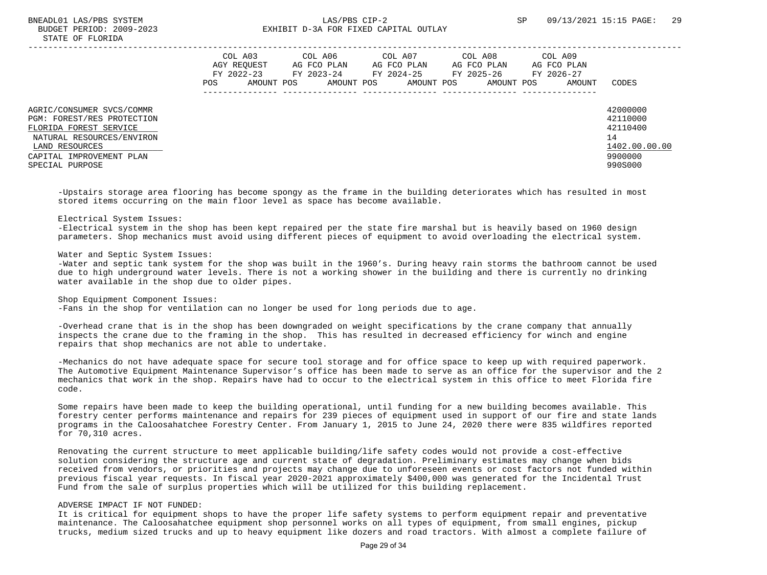|                                                                                                                                                                                 | POS | COL A03<br>AGY REOUEST<br>FY 2022-23<br>AMOUNT POS | COL A06<br>AG FCO PLAN<br>FY 2023-24<br>AMOUNT POS | COL A07<br>AG FCO PLAN<br>FY 2024-25<br>AMOUNT POS | COL A08<br>AG FCO PLAN<br>FY 2025-26<br>AMOUNT POS | COL A09<br>AG FCO PLAN<br>FY 2026-27<br>AMOUNT | CODES                                                                         |
|---------------------------------------------------------------------------------------------------------------------------------------------------------------------------------|-----|----------------------------------------------------|----------------------------------------------------|----------------------------------------------------|----------------------------------------------------|------------------------------------------------|-------------------------------------------------------------------------------|
| AGRIC/CONSUMER SVCS/COMMR<br>PGM: FOREST/RES PROTECTION<br>FLORIDA FOREST SERVICE<br>NATURAL RESOURCES/ENVIRON<br>LAND RESOURCES<br>CAPITAL IMPROVEMENT PLAN<br>SPECIAL PURPOSE |     |                                                    |                                                    |                                                    |                                                    |                                                | 42000000<br>42110000<br>42110400<br>14<br>1402.00.00.00<br>9900000<br>990S000 |

 -Upstairs storage area flooring has become spongy as the frame in the building deteriorates which has resulted in most stored items occurring on the main floor level as space has become available.

Electrical System Issues:

 -Electrical system in the shop has been kept repaired per the state fire marshal but is heavily based on 1960 design parameters. Shop mechanics must avoid using different pieces of equipment to avoid overloading the electrical system.

Water and Septic System Issues:

 -Water and septic tank system for the shop was built in the 1960's. During heavy rain storms the bathroom cannot be used due to high underground water levels. There is not a working shower in the building and there is currently no drinking water available in the shop due to older pipes.

 Shop Equipment Component Issues: -Fans in the shop for ventilation can no longer be used for long periods due to age.

 -Overhead crane that is in the shop has been downgraded on weight specifications by the crane company that annually inspects the crane due to the framing in the shop. This has resulted in decreased efficiency for winch and engine repairs that shop mechanics are not able to undertake.

 -Mechanics do not have adequate space for secure tool storage and for office space to keep up with required paperwork. The Automotive Equipment Maintenance Supervisor's office has been made to serve as an office for the supervisor and the 2 mechanics that work in the shop. Repairs have had to occur to the electrical system in this office to meet Florida fire code.

 Some repairs have been made to keep the building operational, until funding for a new building becomes available. This forestry center performs maintenance and repairs for 239 pieces of equipment used in support of our fire and state lands programs in the Caloosahatchee Forestry Center. From January 1, 2015 to June 24, 2020 there were 835 wildfires reported for 70,310 acres.

 Renovating the current structure to meet applicable building/life safety codes would not provide a cost-effective solution considering the structure age and current state of degradation. Preliminary estimates may change when bids received from vendors, or priorities and projects may change due to unforeseen events or cost factors not funded within previous fiscal year requests. In fiscal year 2020-2021 approximately \$400,000 was generated for the Incidental Trust Fund from the sale of surplus properties which will be utilized for this building replacement.

#### ADVERSE IMPACT IF NOT FUNDED:

 It is critical for equipment shops to have the proper life safety systems to perform equipment repair and preventative maintenance. The Caloosahatchee equipment shop personnel works on all types of equipment, from small engines, pickup trucks, medium sized trucks and up to heavy equipment like dozers and road tractors. With almost a complete failure of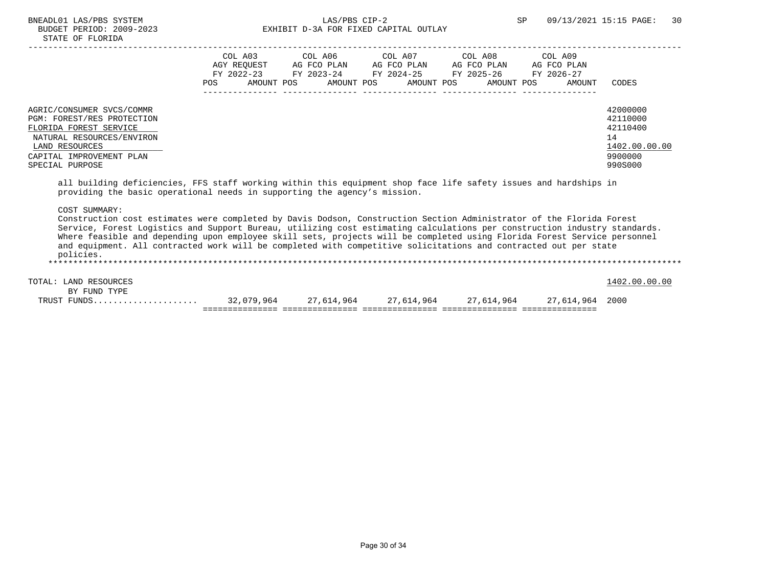|                                                                                                                                                                                                                                                                                                                                                                                                                                                                                                                                                                                                                                                                                                                                  | COL A03<br><b>POS</b> | AMOUNT POS | AGY REOUEST AG FCO PLAN AG FCO PLAN AG FCO PLAN AG FCO PLAN<br>FY 2022-23 FY 2023-24 FY 2024-25 FY 2025-26 FY 2026-27<br>AMOUNT POS<br>AMOUNT POS | AMOUNT POS | COL A09<br>AMOUNT | CODES                                                                         |
|----------------------------------------------------------------------------------------------------------------------------------------------------------------------------------------------------------------------------------------------------------------------------------------------------------------------------------------------------------------------------------------------------------------------------------------------------------------------------------------------------------------------------------------------------------------------------------------------------------------------------------------------------------------------------------------------------------------------------------|-----------------------|------------|---------------------------------------------------------------------------------------------------------------------------------------------------|------------|-------------------|-------------------------------------------------------------------------------|
| AGRIC/CONSUMER SVCS/COMMR<br>PGM: FOREST/RES PROTECTION<br>FLORIDA FOREST SERVICE<br>NATURAL RESOURCES/ENVIRON<br>LAND RESOURCES<br>CAPITAL IMPROVEMENT PLAN<br>SPECIAL PURPOSE                                                                                                                                                                                                                                                                                                                                                                                                                                                                                                                                                  |                       |            |                                                                                                                                                   |            |                   | 42000000<br>42110000<br>42110400<br>14<br>1402.00.00.00<br>9900000<br>990S000 |
| all building deficiencies, FFS staff working within this equipment shop face life safety issues and hardships in<br>providing the basic operational needs in supporting the agency's mission.<br>COST SUMMARY:<br>Construction cost estimates were completed by Davis Dodson, Construction Section Administrator of the Florida Forest<br>Service, Forest Logistics and Support Bureau, utilizing cost estimating calculations per construction industry standards.<br>Where feasible and depending upon employee skill sets, projects will be completed using Florida Forest Service personnel<br>and equipment. All contracted work will be completed with competitive solicitations and contracted out per state<br>policies. |                       |            |                                                                                                                                                   |            |                   |                                                                               |

| TRUST FUNDS           | 32,079,964 | 27,614,964 | 27,614,964 |  |               |
|-----------------------|------------|------------|------------|--|---------------|
| BY FUND TYPE          |            |            |            |  |               |
| TOTAL: LAND RESOURCES |            |            |            |  | 1402.00.00.00 |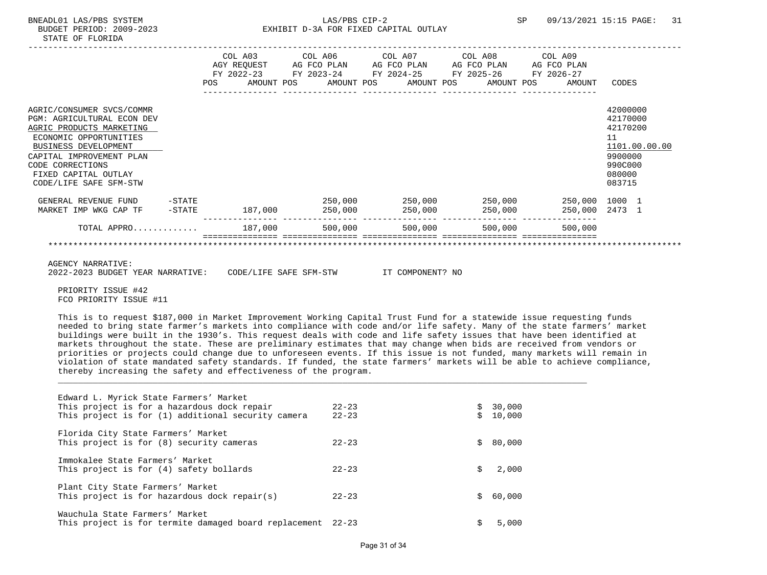|                                                                                                                                                                                                                                         |                     | POS | COL A03<br>FY 2022-23<br>AMOUNT POS | COL A06 COL A07<br>AGY REQUEST AG FCO PLAN<br>FY 2023-24 FY 2024-25<br>AMOUNT POS | AG FCO PLAN<br>AMOUNT POS | COL A08<br>AG FCO PLAN<br>FY 2025-26<br>AMOUNT POS | COL A09<br>AG FCO PLAN<br>FY 2026-27<br>AMOUNT | CODES                                                                            |               |
|-----------------------------------------------------------------------------------------------------------------------------------------------------------------------------------------------------------------------------------------|---------------------|-----|-------------------------------------|-----------------------------------------------------------------------------------|---------------------------|----------------------------------------------------|------------------------------------------------|----------------------------------------------------------------------------------|---------------|
| AGRIC/CONSUMER SVCS/COMMR<br>PGM: AGRICULTURAL ECON DEV<br>AGRIC PRODUCTS MARKETING<br>ECONOMIC OPPORTUNITIES<br>BUSINESS DEVELOPMENT<br>CAPITAL IMPROVEMENT PLAN<br>CODE CORRECTIONS<br>FIXED CAPITAL OUTLAY<br>CODE/LIFE SAFE SFM-STW |                     |     |                                     |                                                                                   |                           |                                                    |                                                | 42000000<br>42170000<br>42170200<br>11<br>9900000<br>990C000<br>080000<br>083715 | 1101.00.00.00 |
| GENERAL REVENUE FUND<br>MARKET IMP WKG CAP TF                                                                                                                                                                                           | -STATE<br>$-$ STATE |     | 187,000                             | 250,000<br>250,000                                                                | 250,000<br>250,000        | 250,000<br>250,000                                 | 250,000<br>250,000 2473 1                      | 1000 1                                                                           |               |
| TOTAL APPRO                                                                                                                                                                                                                             |                     |     | 187,000                             | 500,000                                                                           | 500,000                   | 500,000                                            | 500,000                                        |                                                                                  |               |
|                                                                                                                                                                                                                                         |                     |     |                                     |                                                                                   |                           |                                                    |                                                |                                                                                  |               |
| AGENCY NARRATIVE:<br>2022-2023 BUDGET YEAR NARRATIVE:                                                                                                                                                                                   |                     |     | CODE/LIFE SAFE SFM-STW              |                                                                                   | IT COMPONENT? NO          |                                                    |                                                |                                                                                  |               |

 PRIORITY ISSUE #42 FCO PRIORITY ISSUE #11

 This is to request \$187,000 in Market Improvement Working Capital Trust Fund for a statewide issue requesting funds needed to bring state farmer's markets into compliance with code and/or life safety. Many of the state farmers' market buildings were built in the 1930's. This request deals with code and life safety issues that have been identified at markets throughout the state. These are preliminary estimates that may change when bids are received from vendors or priorities or projects could change due to unforeseen events. If this issue is not funded, many markets will remain in violation of state mandated safety standards. If funded, the state farmers' markets will be able to achieve compliance, thereby increasing the safety and effectiveness of the program.

| Edward L. Myrick State Farmers' Market                      |           |    |        |
|-------------------------------------------------------------|-----------|----|--------|
| This project is for a hazardous dock repair                 | $22 - 23$ | S. | 30,000 |
| This project is for (1) additional security camera          | $22 - 23$ | Ŝ. | 10,000 |
| Florida City State Farmers' Market                          |           |    |        |
| This project is for (8) security cameras                    | $22 - 23$ | Ŝ. | 80,000 |
| Immokalee State Farmers' Market                             |           |    |        |
| This project is for (4) safety bollards                     | $22 - 23$ | Ŝ. | 2,000  |
| Plant City State Farmers' Market                            |           |    |        |
| This project is for hazardous dock repair(s)                | $22 - 23$ | Ŝ. | 60,000 |
| Wauchula State Farmers' Market                              |           |    |        |
| This project is for termite damaged board replacement 22-23 |           | Ŝ  | 5,000  |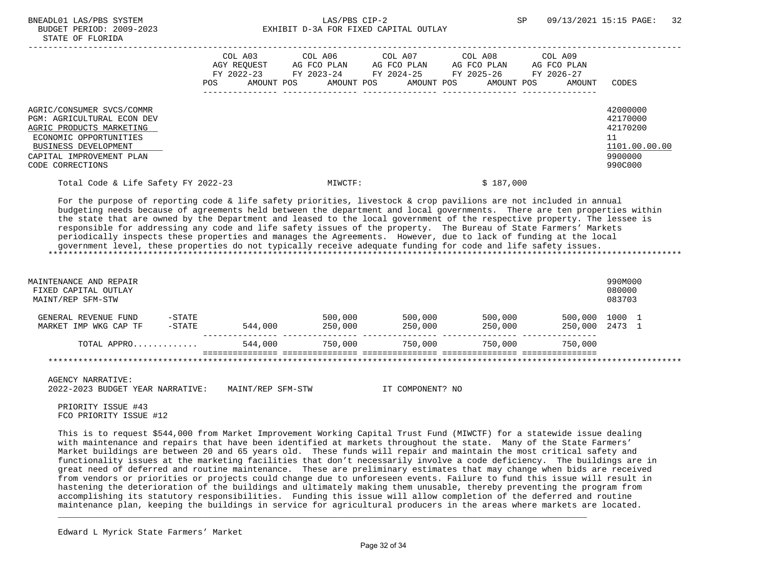| BNEADLUI LAS/PBS SISIEM |                  |                          |         |         | LAS/PBS CIP-4 |                                       |  |
|-------------------------|------------------|--------------------------|---------|---------|---------------|---------------------------------------|--|
|                         |                  | BUDGET PERIOD: 2009-2023 |         |         |               | EXHIBIT D-3A FOR FIXED CAPITAL OUTLAY |  |
|                         | STATE OF FLORIDA |                          |         |         |               |                                       |  |
|                         |                  |                          | COL A03 | COL A06 |               | COL A07                               |  |

|                                                                                                                                                                                       | POS. | COL A03<br>AGY REOUEST<br>FY 2022-23<br>AMOUNT POS | COL A06<br>AG FCO PLAN<br>FY 2023-24<br>AMOUNT POS | COL A07 | AG FCO PLAN<br>FY 2024-25<br>AMOUNT POS | COL A08<br>AG FCO PLAN<br>FY 2025-26<br>AMOUNT POS | COL A09<br>AG FCO PLAN<br>FY 2026-27<br>AMOUNT | CODES                                                                         |
|---------------------------------------------------------------------------------------------------------------------------------------------------------------------------------------|------|----------------------------------------------------|----------------------------------------------------|---------|-----------------------------------------|----------------------------------------------------|------------------------------------------------|-------------------------------------------------------------------------------|
| AGRIC/CONSUMER SVCS/COMMR<br>PGM: AGRICULTURAL ECON DEV<br>AGRIC PRODUCTS MARKETING<br>ECONOMIC OPPORTUNITIES<br>BUSINESS DEVELOPMENT<br>CAPITAL IMPROVEMENT PLAN<br>CODE CORRECTIONS |      |                                                    |                                                    |         |                                         |                                                    |                                                | 42000000<br>42170000<br>42170200<br>11<br>1101.00.00.00<br>9900000<br>990C000 |
| Total Code & Life Safety FY 2022-23                                                                                                                                                   |      |                                                    | MIWCTF:                                            |         |                                         | \$187.000                                          |                                                |                                                                               |

For the purpose of reporting code & life safety priorities, livestock & crop pavilions are not included in annual budgeting needs because of agreements held between the department and local governments. There are ten properties within the state that are owned by the Department and leased to the local government of the respective property. The lessee is responsible for addressing any code and life safety issues of the property. The Bureau of State Farmers' Markets periodically inspects these properties and manages the Agreements. However, due to lack of funding at the local government level, these properties do not typically receive adequate funding for code and life safety issues. \*\*\*\*\*\*\*\*\*\*\*\*\*\*\*\*\*\*\*\*\*\*\*\*\*\*\*\*\*\*\*\*\*\*\*\*\*\*\*\*\*\*\*\*\*\*\*\*\*\*\*\*\*\*\*\*\*\*\*\*\*\*\*\*\*\*\*\*\*\*\*\*\*\*\*\*\*\*\*\*\*\*\*\*\*\*\*\*\*\*\*\*\*\*\*\*\*\*\*\*\*\*\*\*\*\*\*\*\*\*\*\*\*\*\*\*\*\*\*\*\*\*\*\*\*\*\*

| MAINTENANCE AND REPAIR<br>FIXED CAPITAL OUTLAY<br>MAINT/REP SFM-STW |                        |         |                    |                    |                    |                    | 990M000<br>080000<br>083703 |
|---------------------------------------------------------------------|------------------------|---------|--------------------|--------------------|--------------------|--------------------|-----------------------------|
| GENERAL REVENUE FUND<br>MARKET IMP WKG CAP TF                       | $-$ STATE<br>$-$ STATE | 544,000 | 500,000<br>250,000 | 500,000<br>250,000 | 500,000<br>250,000 | 500,000<br>250,000 | 1000 1<br>2473 1            |
| TOTAL APPRO                                                         |                        | 544,000 | 750,000            | 750,000            | 750,000            | 750,000            |                             |
|                                                                     |                        |         |                    |                    |                    |                    |                             |

AGENCY NARRATIVE:

2022-2023 BUDGET YEAR NARRATIVE: MAINT/REP SFM-STW IT COMPONENT? NO

 PRIORITY ISSUE #43 FCO PRIORITY ISSUE #12

 This is to request \$544,000 from Market Improvement Working Capital Trust Fund (MIWCTF) for a statewide issue dealing with maintenance and repairs that have been identified at markets throughout the state. Many of the State Farmers' Market buildings are between 20 and 65 years old. These funds will repair and maintain the most critical safety and functionality issues at the marketing facilities that don't necessarily involve a code deficiency. The buildings are in great need of deferred and routine maintenance. These are preliminary estimates that may change when bids are received from vendors or priorities or projects could change due to unforeseen events. Failure to fund this issue will result in hastening the deterioration of the buildings and ultimately making them unusable, thereby preventing the program from accomplishing its statutory responsibilities. Funding this issue will allow completion of the deferred and routine maintenance plan, keeping the buildings in service for agricultural producers in the areas where markets are located.

\_\_\_\_\_\_\_\_\_\_\_\_\_\_\_\_\_\_\_\_\_\_\_\_\_\_\_\_\_\_\_\_\_\_\_\_\_\_\_\_\_\_\_\_\_\_\_\_\_\_\_\_\_\_\_\_\_\_\_\_\_\_\_\_\_\_\_\_\_\_\_\_\_\_\_\_\_\_\_\_\_\_\_\_\_\_\_\_\_\_\_\_\_\_\_\_\_\_\_\_\_\_\_\_\_\_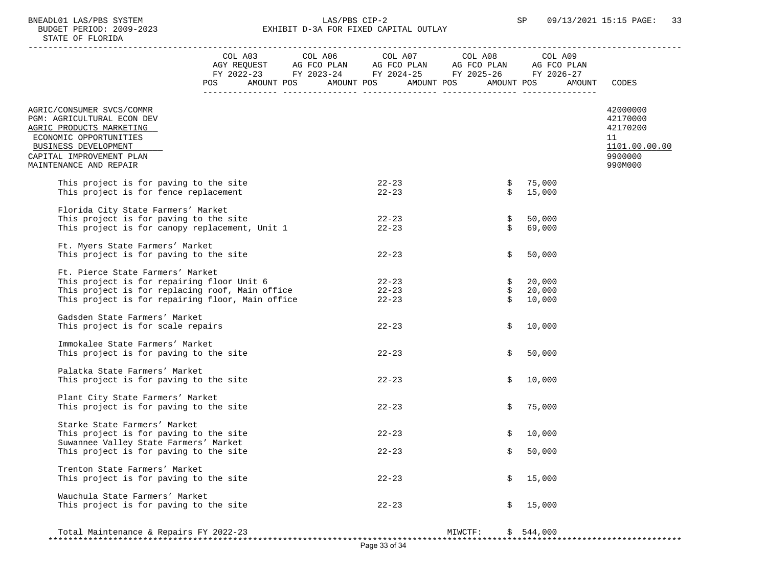# BNEADL01 LAS/PBS SYSTEM 1.33<br>BUDGET PERIOD: 2009-2023 EXHIBIT D-3A FOR FIXED CAPITAL OUTLAY SP 09/13/2021 15:15 PAGE: 33 EXHIBIT D-3A FOR FIXED CAPITAL OUTLAY

| FY 2022-23 FY 2023-24 FY 2024-25 FY 2025-26 FY 2026-27<br>POS AMOUNT POS AMOUNT POS AMOUNT POS AMOUNT POS                                                                             |                                               |                                           |                            | AMOUNT CODES                           |
|---------------------------------------------------------------------------------------------------------------------------------------------------------------------------------------|-----------------------------------------------|-------------------------------------------|----------------------------|----------------------------------------|
| AGRIC/CONSUMER SVCS/COMMR<br>PGM: AGRICULTURAL ECON DEV<br>AGRIC PRODUCTS MARKETING<br>ECONOMIC OPPORTUNITIES                                                                         |                                               |                                           |                            | 42000000<br>42170000<br>42170200<br>11 |
| BUSINESS DEVELOPMENT<br>CAPITAL IMPROVEMENT PLAN<br>MAINTENANCE AND REPAIR                                                                                                            |                                               |                                           |                            | 1101.00.00.00<br>9900000<br>990M000    |
| This project is for paving to the site<br>This project is for fence replacement                                                                                                       | $22 - 23$<br>$22 - 23$                        | Ŝ.                                        | \$75,000<br>15,000         |                                        |
| Florida City State Farmers' Market<br>This project is for paving to the site<br>This project is for canopy replacement, Unit 1                                                        | $22 - 23$<br>$22 - 23$                        | $\ddot{\mathsf{s}}$<br>$\dot{\mathsf{S}}$ | 50,000<br>69,000           |                                        |
| Ft. Myers State Farmers' Market<br>This project is for paving to the site                                                                                                             | $22 - 23$                                     | \$                                        | 50,000                     |                                        |
| Ft. Pierce State Farmers' Market<br>This project is for repairing floor Unit 6<br>This project is for replacing roof, Main office<br>This project is for repairing floor, Main office | $22 - 23$<br>$22 - 23$<br>$22 - 23$           | $\ddot{s}$<br>Ŝ.                          | 20,000<br>20,000<br>10,000 |                                        |
| Gadsden State Farmers' Market<br>This project is for scale repairs                                                                                                                    | $22 - 23$                                     | \$                                        | 10,000                     |                                        |
| Immokalee State Farmers' Market<br>This project is for paving to the site                                                                                                             | $22 - 23$                                     | \$                                        | 50,000                     |                                        |
| Palatka State Farmers' Market<br>This project is for paving to the site                                                                                                               | $22 - 23$                                     | \$                                        | 10,000                     |                                        |
| Plant City State Farmers' Market<br>This project is for paving to the site                                                                                                            | $22 - 23$                                     | \$                                        | 75,000                     |                                        |
| Starke State Farmers' Market<br>This project is for paving to the site<br>Suwannee Valley State Farmers' Market                                                                       | $22 - 23$                                     | \$                                        | 10,000                     |                                        |
| This project is for paving to the site                                                                                                                                                | $22 - 23$                                     | \$                                        | 50,000                     |                                        |
| Trenton State Farmers' Market<br>This project is for paving to the site                                                                                                               | $22 - 23$                                     | Ŝ.                                        | 15,000                     |                                        |
| Wauchula State Farmers' Market<br>This project is for paving to the site                                                                                                              | $22 - 23$                                     | Ŝ.                                        | 15,000                     |                                        |
| Total Maintenance & Repairs FY 2022-23                                                                                                                                                | ****************************<br>Page 33 of 34 | MIWCTF:                                   | \$544,000                  |                                        |